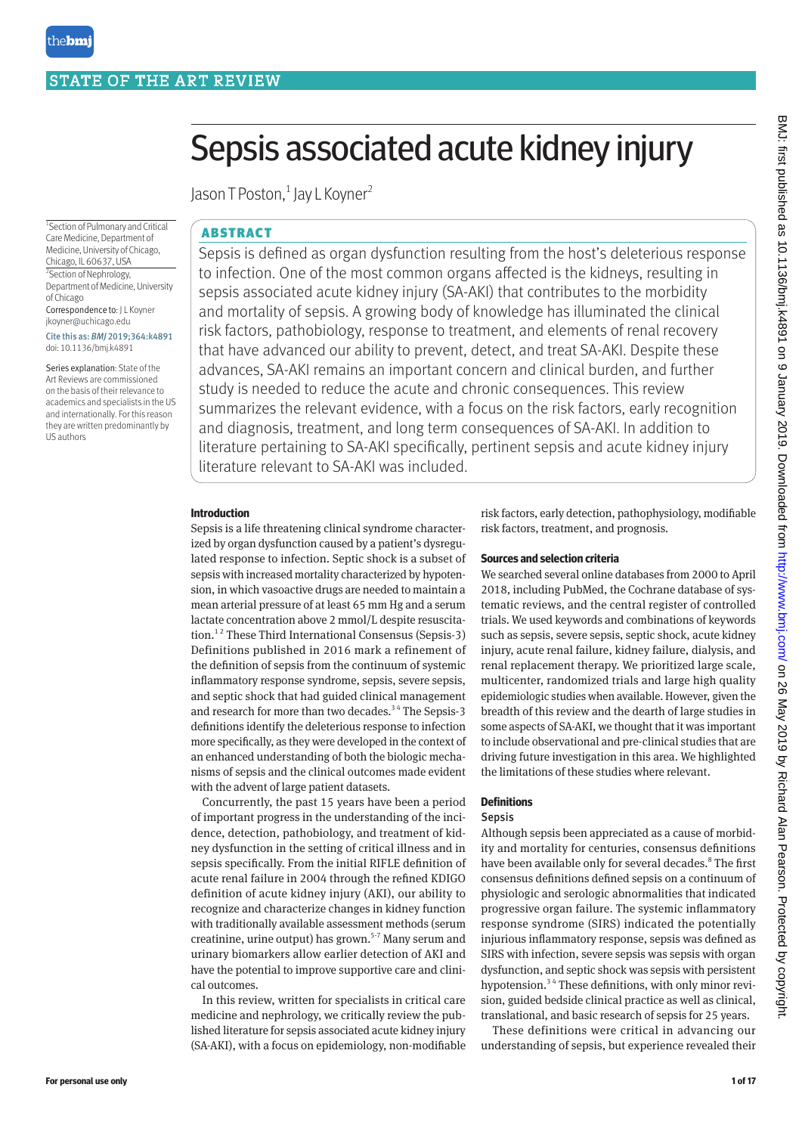# Sepsis associated acute kidney injury

Jason T Poston,<sup>1</sup> Jay L Koyner<sup>2</sup>

# ABSTRACT

1 Section of Pulmonary and Critical Care Medicine, Department of Medicine, University of Chicago, Chicago, IL 60637, USA 2 Section of Nephrology, Department of Medicine, University of Chicago Correspondence to: J L Koyner jkoyner@uchicago.edu Cite this as: *BMJ* 2019;364:k4891 doi: 10.1136/bmj.k4891

Series explanation: State of the Art Reviews are commissioned on the basis of their relevance to academics and specialists in the US and internationally. For this reason they are written predominantly by US authors

Sepsis is defined as organ dysfunction resulting from the host's deleterious response to infection. One of the most common organs affected is the kidneys, resulting in sepsis associated acute kidney injury (SA-AKI) that contributes to the morbidity and mortality of sepsis. A growing body of knowledge has illuminated the clinical risk factors, pathobiology, response to treatment, and elements of renal recovery that have advanced our ability to prevent, detect, and treat SA-AKI. Despite these advances, SA-AKI remains an important concern and clinical burden, and further study is needed to reduce the acute and chronic consequences. This review summarizes the relevant evidence, with a focus on the risk factors, early recognition and diagnosis, treatment, and long term consequences of SA-AKI. In addition to literature pertaining to SA-AKI specifically, pertinent sepsis and acute kidney injury literature relevant to SA-AKI was included.

# **Introduction**

Sepsis is a life threatening clinical syndrome characterized by organ dysfunction caused by a patient's dysregulated response to infection. Septic shock is a subset of sepsis with increased mortality characterized by hypotension, in which vasoactive drugs are needed to maintain a mean arterial pressure of at least 65 mm Hg and a serum lactate concentration above 2 mmol/L despite resuscitation.<sup>12</sup> These Third International Consensus (Sepsis-3) Definitions published in 2016 mark a refinement of the definition of sepsis from the continuum of systemic inflammatory response syndrome, sepsis, severe sepsis, and septic shock that had guided clinical management and research for more than two decades.<sup>34</sup> The Sepsis-3 definitions identify the deleterious response to infection more specifically, as they were developed in the context of an enhanced understanding of both the biologic mechanisms of sepsis and the clinical outcomes made evident with the advent of large patient datasets.

Concurrently, the past 15 years have been a period of important progress in the understanding of the incidence, detection, pathobiology, and treatment of kidney dysfunction in the setting of critical illness and in sepsis specifically. From the initial RIFLE definition of acute renal failure in 2004 through the refined KDIGO definition of acute kidney injury (AKI), our ability to recognize and characterize changes in kidney function with traditionally available assessment methods (serum creatinine, urine output) has grown.<sup>5-7</sup> Many serum and urinary biomarkers allow earlier detection of AKI and have the potential to improve supportive care and clinical outcomes.

In this review, written for specialists in critical care medicine and nephrology, we critically review the published literature for sepsis associated acute kidney injury (SA-AKI), with a focus on epidemiology, non-modifiable

risk factors, early detection, pathophysiology, modifiable risk factors, treatment, and prognosis.

## **Sources and selection criteria**

We searched several online databases from 2000 to April 2018, including PubMed, the Cochrane database of systematic reviews, and the central register of controlled trials. We used keywords and combinations of keywords such as sepsis, severe sepsis, septic shock, acute kidney injury, acute renal failure, kidney failure, dialysis, and renal replacement therapy. We prioritized large scale, multicenter, randomized trials and large high quality epidemiologic studies when available. However, given the breadth of this review and the dearth of large studies in some aspects of SA-AKI, we thought that it was important to include observational and pre-clinical studies that are driving future investigation in this area. We highlighted the limitations of these studies where relevant.

# **Definitions**

# Sepsis

Although sepsis been appreciated as a cause of morbidity and mortality for centuries, consensus definitions have been available only for several decades.<sup>8</sup> The first consensus definitions defined sepsis on a continuum of physiologic and serologic abnormalities that indicated progressive organ failure. The systemic inflammatory response syndrome (SIRS) indicated the potentially injurious inflammatory response, sepsis was defined as SIRS with infection, severe sepsis was sepsis with organ dysfunction, and septic shock was sepsis with persistent hypotension.<sup>34</sup> These definitions, with only minor revision, guided bedside clinical practice as well as clinical, translational, and basic research of sepsis for 25 years.

These definitions were critical in advancing our understanding of sepsis, but experience revealed their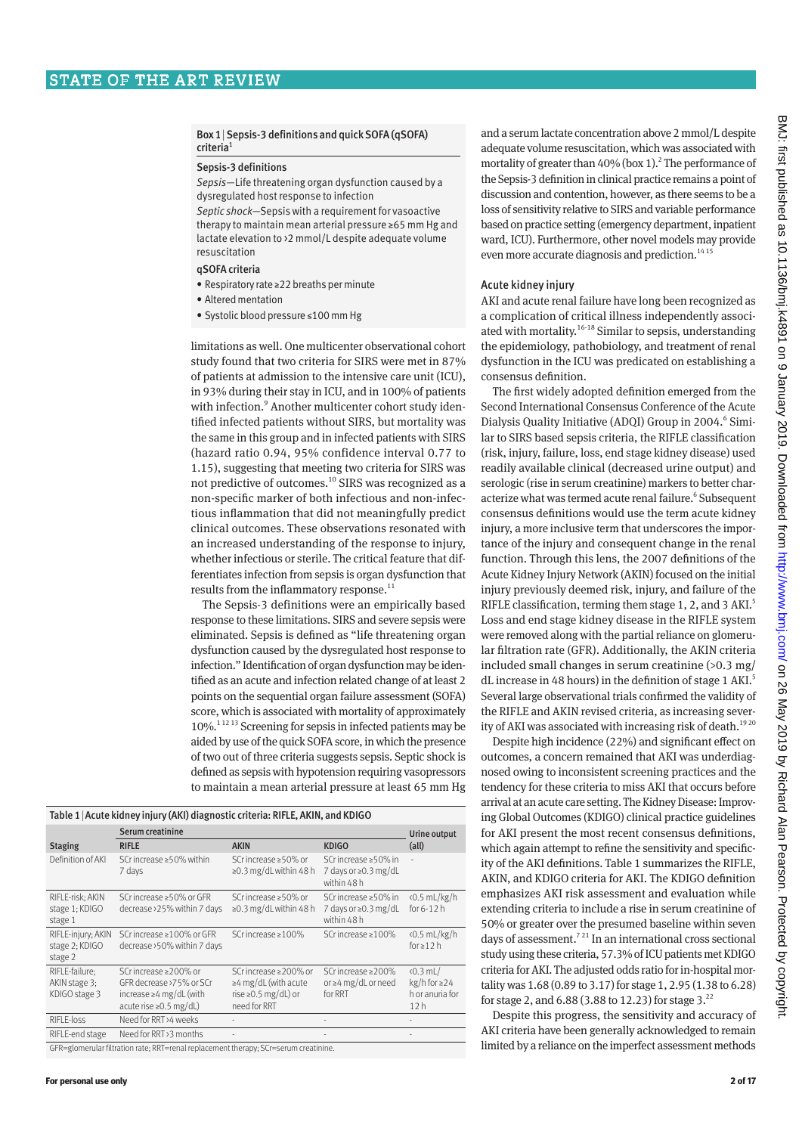#### Box 1|Sepsis-3 definitions and quick SOFA (qSOFA) criteria1

Sepsis-3 definitions

*Sepsis*—Life threatening organ dysfunction caused by a dysregulated host response to infection

*Septic shock*—Sepsis with a requirement for vasoactive therapy to maintain mean arterial pressure ≥65 mm Hg and lactate elevation to >2 mmol/L despite adequate volume resuscitation

#### qSOFA criteria

- Respiratory rate ≥22 breaths per minute
- Altered mentation
- Systolic blood pressure ≤100 mm Hg

limitations as well. One multicenter observational cohort study found that two criteria for SIRS were met in 87% of patients at admission to the intensive care unit (ICU), in 93% during their stay in ICU, and in 100% of patients with infection.<sup>9</sup> Another multicenter cohort study identified infected patients without SIRS, but mortality was the same in this group and in infected patients with SIRS (hazard ratio 0.94, 95% confidence interval 0.77 to 1.15), suggesting that meeting two criteria for SIRS was not predictive of outcomes.10 SIRS was recognized as a non-specific marker of both infectious and non-infectious inflammation that did not meaningfully predict clinical outcomes. These observations resonated with an increased understanding of the response to injury, whether infectious or sterile. The critical feature that differentiates infection from sepsis is organ dysfunction that results from the inflammatory response. $^{11}$ 

The Sepsis-3 definitions were an empirically based response to these limitations. SIRS and severe sepsis were eliminated. Sepsis is defined as "life threatening organ dysfunction caused by the dysregulated host response to infection." Identification of organ dysfunction may be identified as an acute and infection related change of at least 2 points on the sequential organ failure assessment (SOFA) score, which is associated with mortality of approximately  $10\%$ <sup>112 13</sup> Screening for sepsis in infected patients may be aided by use of the quick SOFA score, in which the presence of two out of three criteria suggests sepsis. Septic shock is defined as sepsis with hypotension requiring vasopressors to maintain a mean arterial pressure at least 65 mm Hg

| Table 1   Acute kidney injury (AKI) diagnostic criteria: RIFLE, AKIN, and KDIGO            |                                                                                                                      |                                                                                                      |                                                                   |                                                                                    |
|--------------------------------------------------------------------------------------------|----------------------------------------------------------------------------------------------------------------------|------------------------------------------------------------------------------------------------------|-------------------------------------------------------------------|------------------------------------------------------------------------------------|
|                                                                                            | Serum creatinine                                                                                                     |                                                                                                      |                                                                   | Urine output                                                                       |
| <b>Staging</b>                                                                             | <b>RIFLE</b>                                                                                                         | <b>AKIN</b>                                                                                          | <b>KDIGO</b>                                                      | (all)                                                                              |
| Definition of AKI                                                                          | SCr increase ≥50% within<br>7 days                                                                                   | SCr increase ≥50% or<br>$\geq$ 0.3 mg/dL within 48 h                                                 | SCr increase ≥50% in<br>7 days or $\geq$ 0.3 mg/dL<br>within 48 h | $\overline{\phantom{a}}$                                                           |
| RIFLE-risk; AKIN<br>stage 1; KDIGO<br>stage 1                                              | SCr increase ≥50% or GFR<br>decrease >25% within 7 days                                                              | SCr increase $\geq$ 50% or<br>$\geq$ 0.3 mg/dL within 48 h                                           | SCr increase ≥50% in<br>7 days or $\geq$ 0.3 mg/dL<br>within 48 h | $\langle 0.5 \text{ mL/kg/h}$<br>for $6 - 12h$                                     |
| RIFLE-injury; AKIN<br>stage 2; KDIGO<br>stage 2                                            | SCr increase $\geq 100\%$ or GFR<br>decrease > 50% within 7 days                                                     | SCr increase ≥100%                                                                                   | SCr increase $\geq 100\%$                                         | $\langle 0.5 \text{ mL/kg/h}$<br>for $\geq$ 12 h                                   |
| RIFLE-failure:<br>AKIN stage 3:<br>KDIGO stage 3                                           | $SCr$ increase $\geq$ 200% or<br>GFR decrease >75% or SCr<br>increase $\geq 4$ mg/dL (with<br>acute rise ≥0.5 mg/dL) | SCrincrease $\geq$ 200% or<br>$\geq$ 4 mg/dL (with acute<br>rise $\ge 0.5$ mg/dL) or<br>need for RRT | SCr increase ≥200%<br>or $\geq 4$ mg/dL or need<br>for RRT        | $\langle 0.3 \text{ mL} \rangle$<br>$kg/h$ for $\geq$ 24<br>h or anuria for<br>12h |
| RIFLE-loss                                                                                 | Need for RRT >4 weeks                                                                                                |                                                                                                      |                                                                   |                                                                                    |
| RIFLE-end stage                                                                            | Need for RRT > 3 months                                                                                              |                                                                                                      |                                                                   |                                                                                    |
| $GFRe=$ glomerular filtration rate: RRT=renal replacement therapy: $SCr=$ serum creatinine |                                                                                                                      |                                                                                                      |                                                                   |                                                                                    |

GFR=glomerular filtration rate; RRT=renal replacement therapy; SCr=serum creatinine.

and a serum lactate concentration above 2 mmol/L despite adequate volume resuscitation, which was associated with mortality of greater than  $40\%$  (box 1).<sup>2</sup> The performance of the Sepsis-3 definition in clinical practice remains a point of discussion and contention, however, as there seems to be a loss of sensitivity relative to SIRS and variable performance based on practice setting (emergency department, inpatient ward, ICU). Furthermore, other novel models may provide even more accurate diagnosis and prediction.<sup>1415</sup>

#### Acute kidney injury

AKI and acute renal failure have long been recognized as a complication of critical illness independently associated with mortality.16-18 Similar to sepsis, understanding the epidemiology, pathobiology, and treatment of renal dysfunction in the ICU was predicated on establishing a consensus definition.

The first widely adopted definition emerged from the Second International Consensus Conference of the Acute Dialysis Quality Initiative (ADQI) Group in 2004.<sup>6</sup> Similar to SIRS based sepsis criteria, the RIFLE classification (risk, injury, failure, loss, end stage kidney disease) used readily available clinical (decreased urine output) and serologic (rise in serum creatinine) markers to better characterize what was termed acute renal failure.<sup>6</sup> Subsequent consensus definitions would use the term acute kidney injury, a more inclusive term that underscores the importance of the injury and consequent change in the renal function. Through this lens, the 2007 definitions of the Acute Kidney Injury Network (AKIN) focused on the initial injury previously deemed risk, injury, and failure of the RIFLE classification, terming them stage 1, 2, and 3  $AKI<sup>5</sup>$ Loss and end stage kidney disease in the RIFLE system were removed along with the partial reliance on glomerular filtration rate (GFR). Additionally, the AKIN criteria included small changes in serum creatinine (>0.3 mg/ dL increase in 48 hours) in the definition of stage 1 AKI.<sup>5</sup> Several large observational trials confirmed the validity of the RIFLE and AKIN revised criteria, as increasing severity of AKI was associated with increasing risk of death.<sup>1920</sup>

Despite high incidence (22%) and significant effect on outcomes, a concern remained that AKI was underdiagnosed owing to inconsistent screening practices and the tendency for these criteria to miss AKI that occurs before arrival at an acute care setting. The Kidney Disease: Improving Global Outcomes (KDIGO) clinical practice guidelines for AKI present the most recent consensus definitions, which again attempt to refine the sensitivity and specificity of the AKI definitions. Table 1 summarizes the RIFLE, AKIN, and KDIGO criteria for AKI. The KDIGO definition emphasizes AKI risk assessment and evaluation while extending criteria to include a rise in serum creatinine of 50% or greater over the presumed baseline within seven days of assessment.<sup>721</sup> In an international cross sectional study using these criteria, 57.3% of ICU patients met KDIGO criteria for AKI. The adjusted odds ratio for in-hospital mortality was 1.68 (0.89 to 3.17) for stage 1, 2.95 (1.38 to 6.28) for stage 2, and 6.88 (3.88 to 12.23) for stage  $3.^{22}$ 

Despite this progress, the sensitivity and accuracy of AKI criteria have been generally acknowledged to remain limited by a reliance on the imperfect assessment methods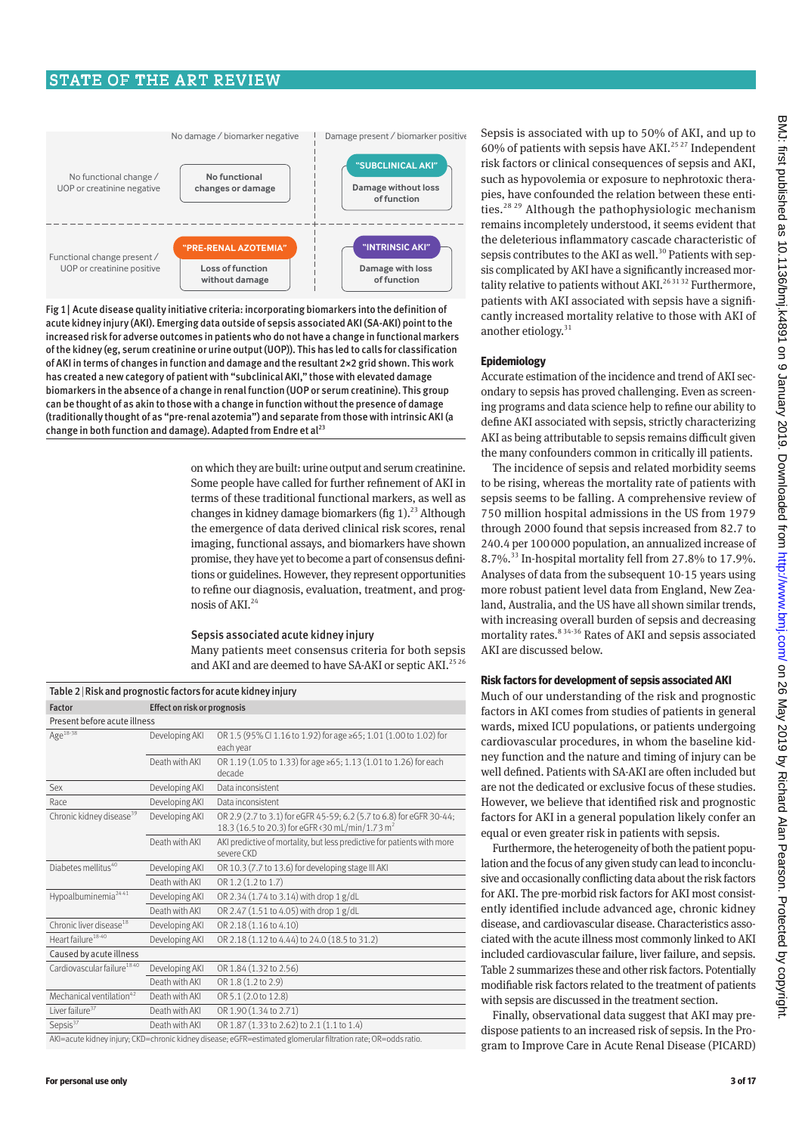# STATE OF THE ART REVIEW



Fig 1| Acute disease quality initiative criteria: incorporating biomarkers into the definition of acute kidney injury (AKI). Emerging data outside of sepsis associated AKI (SA-AKI) point to the increased risk for adverse outcomes in patients who do not have a change in functional markers of the kidney (eg, serum creatinine or urine output (UOP)). This has led to calls for classification of AKI in terms of changes in function and damage and the resultant 2×2 grid shown. This work has created a new category of patient with "subclinical AKI," those with elevated damage biomarkers in the absence of a change in renal function (UOP or serum creatinine). This group can be thought of as akin to those with a change in function without the presence of damage (traditionally thought of as "pre-renal azotemia") and separate from those with intrinsic AKI (a change in both function and damage). Adapted from Endre et  $al^{23}$ 

> on which they are built: urine output and serum creatinine. Some people have called for further refinement of AKI in terms of these traditional functional markers, as well as changes in kidney damage biomarkers (fig 1).<sup>23</sup> Although the emergence of data derived clinical risk scores, renal imaging, functional assays, and biomarkers have shown promise, they have yet to become a part of consensus definitions or guidelines. However, they represent opportunities to refine our diagnosis, evaluation, treatment, and prognosis of AKI.<sup>24</sup>

### Sepsis associated acute kidney injury

Many patients meet consensus criteria for both sepsis and AKI and are deemed to have SA-AKI or septic AKI.<sup>25 26</sup>

| Table $2 Risk$ and prognostic factors for acute kidney injury                                                  |                             |                                                                                                                                      |  |  |
|----------------------------------------------------------------------------------------------------------------|-----------------------------|--------------------------------------------------------------------------------------------------------------------------------------|--|--|
| Factor                                                                                                         | Effect on risk or prognosis |                                                                                                                                      |  |  |
| Present before acute illness                                                                                   |                             |                                                                                                                                      |  |  |
| $Age^{18-38}$                                                                                                  | Developing AKI              | OR 1.5 (95% CI 1.16 to 1.92) for age ≥65; 1.01 (1.00 to 1.02) for<br>each year                                                       |  |  |
|                                                                                                                | Death with AKI              | OR 1.19 (1.05 to 1.33) for age ≥65; 1.13 (1.01 to 1.26) for each<br>decade                                                           |  |  |
| Sex                                                                                                            | Developing AKI              | Data inconsistent                                                                                                                    |  |  |
| Race                                                                                                           | Developing AKI              | Data inconsistent                                                                                                                    |  |  |
| Chronic kidney disease <sup>39</sup>                                                                           | Developing AKI              | OR 2.9 (2.7 to 3.1) for eGFR 45-59; 6.2 (5.7 to 6.8) for eGFR 30-44;<br>18.3 (16.5 to 20.3) for eGFR < 30 mL/min/1.73 m <sup>2</sup> |  |  |
|                                                                                                                | Death with AKI              | AKI predictive of mortality, but less predictive for patients with more<br>severe CKD                                                |  |  |
| Diabetes mellitus <sup>40</sup>                                                                                | Developing AKI              | OR 10.3 (7.7 to 13.6) for developing stage III AKI                                                                                   |  |  |
|                                                                                                                | Death with AKI              | OR 1.2 (1.2 to 1.7)                                                                                                                  |  |  |
| Hypoalbuminemia <sup>2441</sup>                                                                                | Developing AKI              | OR 2.34 (1.74 to 3.14) with drop 1 g/dL                                                                                              |  |  |
|                                                                                                                | Death with AKI              | OR 2.47 (1.51 to 4.05) with drop 1 g/dL                                                                                              |  |  |
| Chronic liver disease <sup>18</sup>                                                                            | Developing AKI              | OR 2.18 (1.16 to 4.10)                                                                                                               |  |  |
| Heart failure <sup>18-40</sup>                                                                                 | Developing AKI              | OR 2.18 (1.12 to 4.44) to 24.0 (18.5 to 31.2)                                                                                        |  |  |
| Caused by acute illness                                                                                        |                             |                                                                                                                                      |  |  |
| Cardiovascular failure <sup>1840</sup>                                                                         | Developing AKI              | OR 1.84 (1.32 to 2.56)                                                                                                               |  |  |
|                                                                                                                | Death with AKI              | OR 1.8 (1.2 to 2.9)                                                                                                                  |  |  |
| Mechanical ventilation <sup>42</sup>                                                                           | Death with AKI              | OR 5.1 (2.0 to 12.8)                                                                                                                 |  |  |
| Liver failure <sup>37</sup>                                                                                    | Death with AKI              | OR 1.90 (1.34 to 2.71)                                                                                                               |  |  |
| Sepsis <sup>37</sup>                                                                                           | Death with AKI              | OR 1.87 (1.33 to 2.62) to 2.1 (1.1 to 1.4)                                                                                           |  |  |
| AKI=acute kidney injury; CKD=chronic kidney disease; eGFR=estimated glomerular filtration rate; OR=odds ratio. |                             |                                                                                                                                      |  |  |

Sepsis is associated with up to 50% of AKI, and up to 60% of patients with sepsis have AKI.<sup>25,27</sup> Independent risk factors or clinical consequences of sepsis and AKI, such as hypovolemia or exposure to nephrotoxic therapies, have confounded the relation between these entities.<sup>28 29</sup> Although the pathophysiologic mechanism remains incompletely understood, it seems evident that the deleterious inflammatory cascade characteristic of sepsis contributes to the AKI as well.<sup>30</sup> Patients with sepsis complicated by AKI have a significantly increased mortality relative to patients without AKI.<sup>263132</sup> Furthermore, patients with AKI associated with sepsis have a significantly increased mortality relative to those with AKI of another etiology.<sup>31</sup>

#### **Epidemiology**

Accurate estimation of the incidence and trend of AKI secondary to sepsis has proved challenging. Even as screening programs and data science help to refine our ability to define AKI associated with sepsis, strictly characterizing AKI as being attributable to sepsis remains difficult given the many confounders common in critically ill patients.

The incidence of sepsis and related morbidity seems to be rising, whereas the mortality rate of patients with sepsis seems to be falling. A comprehensive review of 750 million hospital admissions in the US from 1979 through 2000 found that sepsis increased from 82.7 to 240.4 per 100000 population, an annualized increase of 8.7%.<sup>33</sup> In-hospital mortality fell from 27.8% to 17.9%. Analyses of data from the subsequent 10-15 years using more robust patient level data from England, New Zealand, Australia, and the US have all shown similar trends, with increasing overall burden of sepsis and decreasing mortality rates.<sup>8 34-36</sup> Rates of AKI and sepsis associated AKI are discussed below.

# **Risk factors for development of sepsis associated AKI**

Much of our understanding of the risk and prognostic factors in AKI comes from studies of patients in general wards, mixed ICU populations, or patients undergoing cardiovascular procedures, in whom the baseline kidney function and the nature and timing of injury can be well defined. Patients with SA-AKI are often included but are not the dedicated or exclusive focus of these studies. However, we believe that identified risk and prognostic factors for AKI in a general population likely confer an equal or even greater risk in patients with sepsis.

Furthermore, the heterogeneity of both the patient population and the focus of any given study can lead to inconclusive and occasionally conflicting data about the risk factors for AKI. The pre-morbid risk factors for AKI most consistently identified include advanced age, chronic kidney disease, and cardiovascular disease. Characteristics associated with the acute illness most commonly linked to AKI included cardiovascular failure, liver failure, and sepsis. Table 2 summarizes these and other risk factors. Potentially modifiable risk factors related to the treatment of patients with sepsis are discussed in the treatment section.

Finally, observational data suggest that AKI may predispose patients to an increased risk of sepsis. In the Program to Improve Care in Acute Renal Disease (PICARD)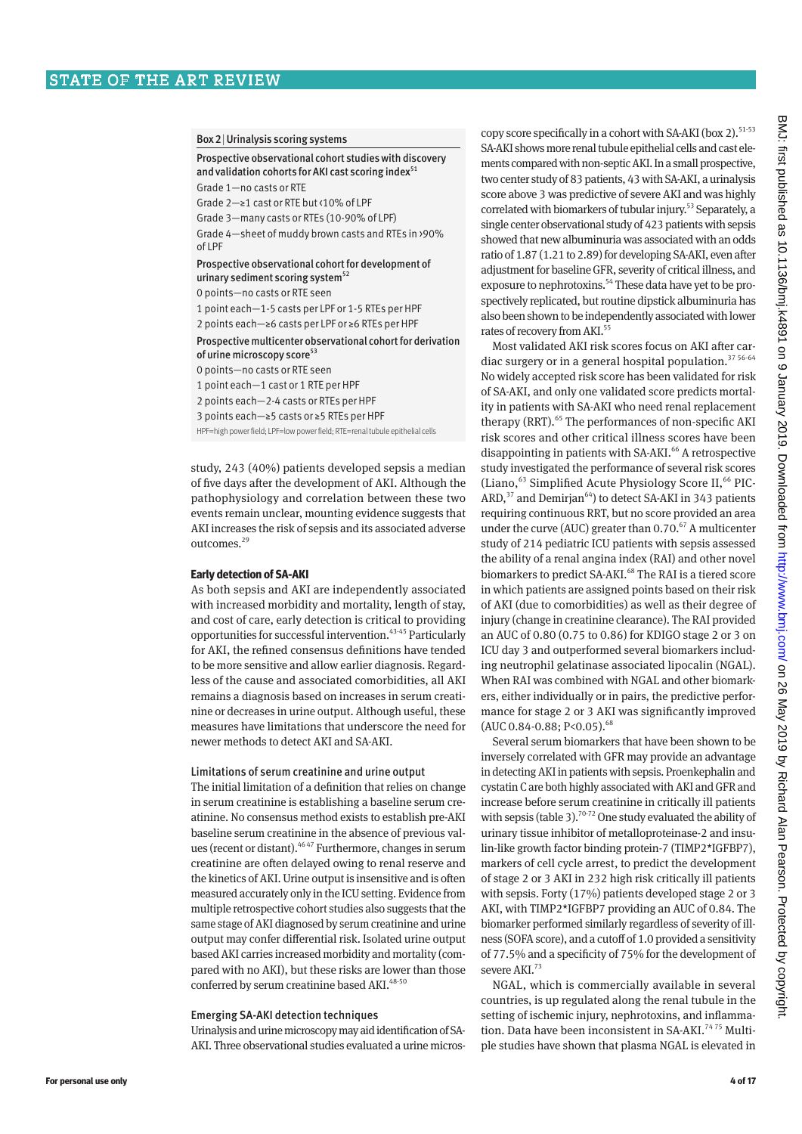#### Box 2|Urinalysis scoring systems

Prospective observational cohort studies with discovery and validation cohorts for AKI cast scoring index $51$ Grade 1—no casts or RTE

Grade 2—≥1 cast or RTE but <10% of LPF

Grade 3—many casts or RTEs (10-90% of LPF) Grade 4—sheet of muddy brown casts and RTEs in >90% of LPF

#### Prospective observational cohort for development of urinary sediment scoring system<sup>52</sup>

0 points—no casts or RTE seen

1 point each—1-5 casts per LPF or 1-5 RTEs per HPF

2 points each—≥6 casts per LPF or ≥6 RTEs per HPF

Prospective multicenter observational cohort for derivation of urine microscopy score<sup>53</sup>

0 points—no casts or RTE seen

1 point each—1 cast or 1 RTE per HPF

2 points each—2-4 casts or RTEs per HPF

3 points each—≥5 casts or ≥5 RTEs per HPF

HPF=high power field; LPF=low power field; RTE=renal tubule epithelial cells

study, 243 (40%) patients developed sepsis a median of five days after the development of AKI. Although the pathophysiology and correlation between these two events remain unclear, mounting evidence suggests that AKI increases the risk of sepsis and its associated adverse outcomes.<sup>29</sup>

#### **Early detection of SA-AKI**

As both sepsis and AKI are independently associated with increased morbidity and mortality, length of stay, and cost of care, early detection is critical to providing opportunities for successful intervention.43-45 Particularly for AKI, the refined consensus definitions have tended to be more sensitive and allow earlier diagnosis. Regardless of the cause and associated comorbidities, all AKI remains a diagnosis based on increases in serum creatinine or decreases in urine output. Although useful, these measures have limitations that underscore the need for newer methods to detect AKI and SA-AKI.

#### Limitations of serum creatinine and urine output

The initial limitation of a definition that relies on change in serum creatinine is establishing a baseline serum creatinine. No consensus method exists to establish pre-AKI baseline serum creatinine in the absence of previous values (recent or distant).<sup>46,47</sup> Furthermore, changes in serum creatinine are often delayed owing to renal reserve and the kinetics of AKI. Urine output is insensitive and is often measured accurately only in the ICU setting. Evidence from multiple retrospective cohort studies also suggests that the same stage of AKI diagnosed by serum creatinine and urine output may confer differential risk. Isolated urine output based AKI carries increased morbidity and mortality (compared with no AKI), but these risks are lower than those conferred by serum creatinine based AKI.<sup>48-50</sup>

#### Emerging SA-AKI detection techniques

Urinalysis and urine microscopy may aid identification of SA-AKI. Three observational studies evaluated a urine microscopy score specifically in a cohort with SA-AKI (box 2).<sup>51-53</sup> SA-AKI shows more renal tubule epithelial cells and cast elements compared with non-septic AKI. In a small prospective, two center study of 83 patients, 43 with SA-AKI, a urinalysis score above 3 was predictive of severe AKI and was highly correlated with biomarkers of tubular injury.<sup>53</sup> Separately, a single center observational study of 423 patients with sepsis showed that new albuminuria was associated with an odds ratio of 1.87 (1.21 to 2.89) for developing SA-AKI, even after adjustment for baseline GFR, severity of critical illness, and exposure to nephrotoxins.<sup>54</sup> These data have yet to be prospectively replicated, but routine dipstick albuminuria has also been shown to be independently associated with lower rates of recovery from AKI.<sup>55</sup>

Most validated AKI risk scores focus on AKI after cardiac surgery or in a general hospital population.<sup>3756-64</sup> No widely accepted risk score has been validated for risk of SA-AKI, and only one validated score predicts mortality in patients with SA-AKI who need renal replacement therapy  $(RRT)$ .<sup>65</sup> The performances of non-specific AKI risk scores and other critical illness scores have been disappointing in patients with SA-AKI.<sup>66</sup> A retrospective study investigated the performance of several risk scores (Liano,  $^{63}$  Simplified Acute Physiology Score II,  $^{66}$  PIC- $ARD<sub>1</sub><sup>37</sup>$  and Demirjan<sup>64</sup>) to detect SA-AKI in 343 patients requiring continuous RRT, but no score provided an area under the curve (AUC) greater than  $0.70^{67}$  A multicenter study of 214 pediatric ICU patients with sepsis assessed the ability of a renal angina index (RAI) and other novel biomarkers to predict SA-AKI.<sup>68</sup> The RAI is a tiered score in which patients are assigned points based on their risk of AKI (due to comorbidities) as well as their degree of injury (change in creatinine clearance). The RAI provided an AUC of 0.80 (0.75 to 0.86) for KDIGO stage 2 or 3 on ICU day 3 and outperformed several biomarkers including neutrophil gelatinase associated lipocalin (NGAL). When RAI was combined with NGAL and other biomarkers, either individually or in pairs, the predictive performance for stage 2 or 3 AKI was significantly improved  $(AUC 0.84-0.88; P<0.05).$ <sup>68</sup>

Several serum biomarkers that have been shown to be inversely correlated with GFR may provide an advantage in detecting AKI in patients with sepsis. Proenkephalin and cystatin C are both highly associated with AKI and GFR and increase before serum creatinine in critically ill patients with sepsis (table 3).<sup>70-72</sup> One study evaluated the ability of urinary tissue inhibitor of metalloproteinase-2 and insulin-like growth factor binding protein-7 (TIMP2\*IGFBP7), markers of cell cycle arrest, to predict the development of stage 2 or 3 AKI in 232 high risk critically ill patients with sepsis. Forty (17%) patients developed stage 2 or 3 AKI, with TIMP2\*IGFBP7 providing an AUC of 0.84. The biomarker performed similarly regardless of severity of illness (SOFA score), and a cutoff of 1.0 provided a sensitivity of 77.5% and a specificity of 75% for the development of severe  $\Delta K I^{-7}$ 

NGAL, which is commercially available in several countries, is up regulated along the renal tubule in the setting of ischemic injury, nephrotoxins, and inflammation. Data have been inconsistent in SA-AKI.<sup>7475</sup> Multiple studies have shown that plasma NGAL is elevated in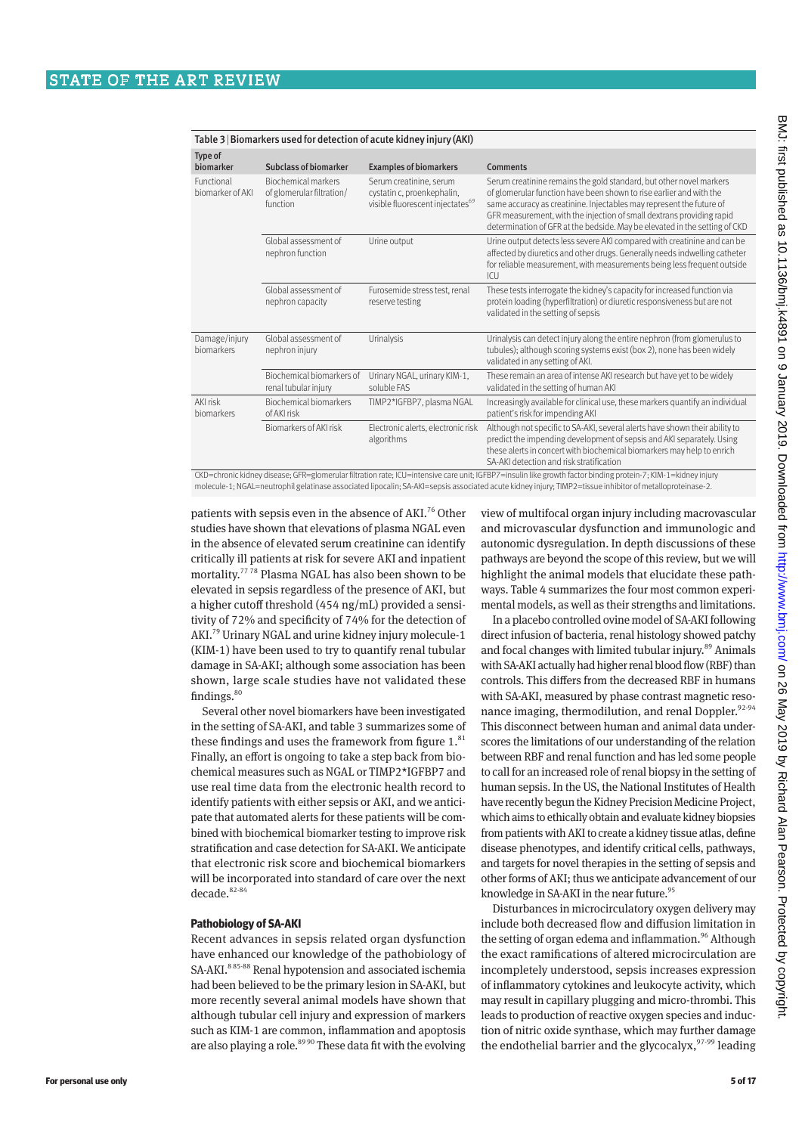| Table 3   Biomarkers used for detection of acute kidney injury (AKI) |                                                                                                       |                                                                                                                                                                                                                                                                                                                                                                           |  |  |
|----------------------------------------------------------------------|-------------------------------------------------------------------------------------------------------|---------------------------------------------------------------------------------------------------------------------------------------------------------------------------------------------------------------------------------------------------------------------------------------------------------------------------------------------------------------------------|--|--|
| Subclass of biomarker                                                | <b>Examples of biomarkers</b>                                                                         | <b>Comments</b>                                                                                                                                                                                                                                                                                                                                                           |  |  |
| <b>Biochemical markers</b><br>of glomerular filtration/<br>function  | Serum creatinine, serum<br>cystatin c, proenkephalin,<br>visible fluorescent injectates <sup>69</sup> | Serum creatinine remains the gold standard, but other novel markers<br>of glomerular function have been shown to rise earlier and with the<br>same accuracy as creatinine. Injectables may represent the future of<br>GFR measurement, with the injection of small dextrans providing rapid<br>determination of GFR at the bedside. May be elevated in the setting of CKD |  |  |
| Global assessment of<br>nephron function                             | Urine output                                                                                          | Urine output detects less severe AKI compared with creatinine and can be<br>affected by diuretics and other drugs. Generally needs indwelling catheter<br>for reliable measurement, with measurements being less frequent outside<br> C                                                                                                                                   |  |  |
| Global assessment of<br>nephron capacity                             | Furosemide stress test, renal<br>reserve testing                                                      | These tests interrogate the kidney's capacity for increased function via<br>protein loading (hyperfiltration) or diuretic responsiveness but are not<br>validated in the setting of sepsis                                                                                                                                                                                |  |  |
| Global assessment of<br>nephron injury                               | Urinalysis                                                                                            | Urinalysis can detect injury along the entire nephron (from glomerulus to<br>tubules); although scoring systems exist (box 2), none has been widely<br>validated in any setting of AKI.                                                                                                                                                                                   |  |  |
| Biochemical biomarkers of<br>renal tubular injury                    | Urinary NGAL, urinary KIM-1,<br>soluble FAS                                                           | These remain an area of intense AKI research but have yet to be widely<br>validated in the setting of human AKI                                                                                                                                                                                                                                                           |  |  |
| Biochemical biomarkers<br>of AKI risk                                | TIMP2*IGFBP7, plasma NGAL                                                                             | Increasingly available for clinical use, these markers quantify an individual<br>patient's risk for impending AKI                                                                                                                                                                                                                                                         |  |  |
| Biomarkers of AKI risk                                               | Electronic alerts, electronic risk<br>algorithms                                                      | Although not specific to SA-AKI, several alerts have shown their ability to<br>predict the impending development of sepsis and AKI separately. Using<br>these alerts in concert with biochemical biomarkers may help to enrich<br>SA-AKI detection and risk stratification                                                                                                |  |  |
|                                                                      |                                                                                                       |                                                                                                                                                                                                                                                                                                                                                                           |  |  |

CKD=chronic kidney disease; GFR=glomerular filtration rate; ICU=intensive care unit; IGFBP7=insulin like growth factor binding protein-7; KIM-1=kidney injury molecule-1; NGAL=neutrophil gelatinase associated lipocalin; SA-AKI=sepsis associated acute kidney injury; TIMP2=tissue inhibitor of metalloproteinase-2.

patients with sepsis even in the absence of AKI.<sup>76</sup> Other studies have shown that elevations of plasma NGAL even in the absence of elevated serum creatinine can identify critically ill patients at risk for severe AKI and inpatient mortality.<sup>77 78</sup> Plasma NGAL has also been shown to be elevated in sepsis regardless of the presence of AKI, but a higher cutoff threshold (454 ng/mL) provided a sensitivity of 72% and specificity of 74% for the detection of AKI.79 Urinary NGAL and urine kidney injury molecule-1 (KIM-1) have been used to try to quantify renal tubular damage in SA-AKI; although some association has been shown, large scale studies have not validated these findings.<sup>80</sup>

Several other novel biomarkers have been investigated in the setting of SA-AKI, and table 3 summarizes some of these findings and uses the framework from figure  $1<sup>81</sup>$ Finally, an effort is ongoing to take a step back from biochemical measures such as NGAL or TIMP2\*IGFBP7 and use real time data from the electronic health record to identify patients with either sepsis or AKI, and we anticipate that automated alerts for these patients will be combined with biochemical biomarker testing to improve risk stratification and case detection for SA-AKI. We anticipate that electronic risk score and biochemical biomarkers will be incorporated into standard of care over the next decade.82-84

## **Pathobiology of SA-AKI**

Recent advances in sepsis related organ dysfunction have enhanced our knowledge of the pathobiology of SA-AKI.<sup>885-88</sup> Renal hypotension and associated ischemia had been believed to be the primary lesion in SA-AKI, but more recently several animal models have shown that although tubular cell injury and expression of markers such as KIM-1 are common, inflammation and apoptosis are also playing a role.<sup>89 90</sup> These data fit with the evolving

view of multifocal organ injury including macrovascular and microvascular dysfunction and immunologic and autonomic dysregulation. In depth discussions of these pathways are beyond the scope of this review, but we will highlight the animal models that elucidate these pathways. Table 4 summarizes the four most common experimental models, as well as their strengths and limitations.

In a placebo controlled ovine model of SA-AKI following direct infusion of bacteria, renal histology showed patchy and focal changes with limited tubular injury.<sup>89</sup> Animals with SA-AKI actually had higher renal blood flow (RBF) than controls. This differs from the decreased RBF in humans with SA-AKI, measured by phase contrast magnetic resonance imaging, thermodilution, and renal Doppler.<sup>92-94</sup> This disconnect between human and animal data underscores the limitations of our understanding of the relation between RBF and renal function and has led some people to call for an increased role of renal biopsy in the setting of human sepsis. In the US, the National Institutes of Health have recently begun the Kidney Precision Medicine Project, which aims to ethically obtain and evaluate kidney biopsies from patients with AKI to create a kidney tissue atlas, define disease phenotypes, and identify critical cells, pathways, and targets for novel therapies in the setting of sepsis and other forms of AKI; thus we anticipate advancement of our knowledge in SA-AKI in the near future.<sup>95</sup>

Disturbances in microcirculatory oxygen delivery may include both decreased flow and diffusion limitation in the setting of organ edema and inflammation.<sup>96</sup> Although the exact ramifications of altered microcirculation are incompletely understood, sepsis increases expression of inflammatory cytokines and leukocyte activity, which may result in capillary plugging and micro-thrombi. This leads to production of reactive oxygen species and induction of nitric oxide synthase, which may further damage the endothelial barrier and the glycocalyx, <sup>97-99</sup> leading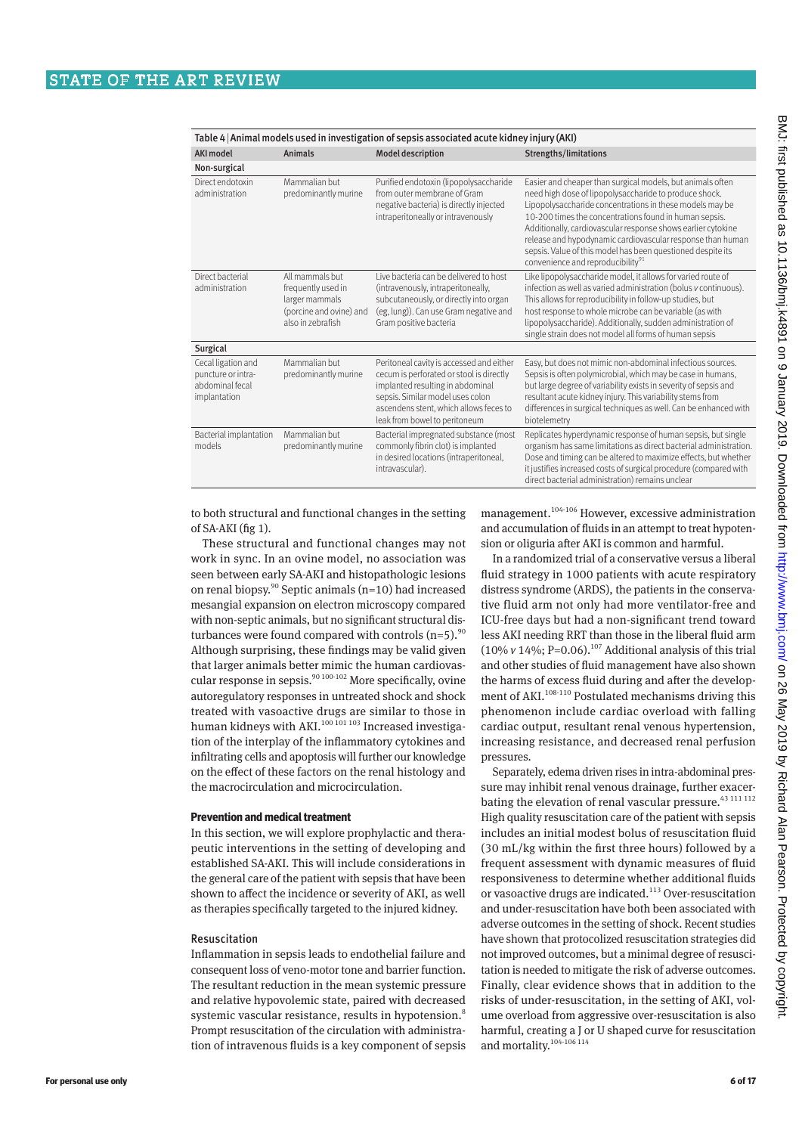| <b>AKI model</b>                                                            | <b>Animals</b>                                                                                          | <b>Model description</b>                                                                                                                                                                                                                | <b>Strengths/limitations</b>                                                                                                                                                                                                                                                                                                                                                                                                                                                             |
|-----------------------------------------------------------------------------|---------------------------------------------------------------------------------------------------------|-----------------------------------------------------------------------------------------------------------------------------------------------------------------------------------------------------------------------------------------|------------------------------------------------------------------------------------------------------------------------------------------------------------------------------------------------------------------------------------------------------------------------------------------------------------------------------------------------------------------------------------------------------------------------------------------------------------------------------------------|
| Non-surgical                                                                |                                                                                                         |                                                                                                                                                                                                                                         |                                                                                                                                                                                                                                                                                                                                                                                                                                                                                          |
| Direct endotoxin<br>administration                                          | Mammalian but<br>predominantly murine                                                                   | Purified endotoxin (lipopolysaccharide<br>from outer membrane of Gram<br>negative bacteria) is directly injected<br>intraperitoneally or intravenously                                                                                  | Easier and cheaper than surgical models, but animals often<br>need high dose of lipopolysaccharide to produce shock.<br>Lipopolysaccharide concentrations in these models may be<br>10-200 times the concentrations found in human sepsis.<br>Additionally, cardiovascular response shows earlier cytokine<br>release and hypodynamic cardiovascular response than human<br>sepsis. Value of this model has been questioned despite its<br>convenience and reproducibility <sup>91</sup> |
| Direct bacterial<br>administration                                          | All mammals but<br>frequently used in<br>larger mammals<br>(porcine and ovine) and<br>also in zebrafish | Live bacteria can be delivered to host<br>(intravenously, intraperitoneally,<br>subcutaneously, or directly into organ<br>(eg, lung)). Can use Gram negative and<br>Gram positive bacteria                                              | Like lipopolysaccharide model, it allows for varied route of<br>infection as well as varied administration (bolus v continuous).<br>This allows for reproducibility in follow-up studies, but<br>host response to whole microbe can be variable (as with<br>lipopolysaccharide). Additionally, sudden administration of<br>single strain does not model all forms of human sepsis                                                                                                        |
| <b>Surgical</b>                                                             |                                                                                                         |                                                                                                                                                                                                                                         |                                                                                                                                                                                                                                                                                                                                                                                                                                                                                          |
| Cecal ligation and<br>puncture or intra-<br>abdominal fecal<br>implantation | Mammalian but<br>predominantly murine                                                                   | Peritoneal cavity is accessed and either<br>cecum is perforated or stool is directly<br>implanted resulting in abdominal<br>sepsis. Similar model uses colon<br>ascendens stent, which allows feces to<br>leak from bowel to peritoneum | Easy, but does not mimic non-abdominal infectious sources.<br>Sepsis is often polymicrobial, which may be case in humans,<br>but large degree of variability exists in severity of sepsis and<br>resultant acute kidney injury. This variability stems from<br>differences in surgical techniques as well. Can be enhanced with<br>biotelemetry                                                                                                                                          |
| Bacterial implantation<br>models                                            | Mammalian but<br>predominantly murine                                                                   | Bacterial impregnated substance (most<br>commonly fibrin clot) is implanted<br>in desired locations (intraperitoneal,<br>intravascular).                                                                                                | Replicates hyperdynamic response of human sepsis, but single<br>organism has same limitations as direct bacterial administration.<br>Dose and timing can be altered to maximize effects, but whether<br>it justifies increased costs of surgical procedure (compared with<br>direct bacterial administration) remains unclear                                                                                                                                                            |

|           |         | Table 4   Animal models used in investigation of sepsis associated acute kidney injury (AKI) |                        |
|-----------|---------|----------------------------------------------------------------------------------------------|------------------------|
| AVI model | Animalc | Model decerintian                                                                            | $C$ trongthe llimitati |

to both structural and functional changes in the setting of SA-AKI (fig 1).

These structural and functional changes may not work in sync. In an ovine model, no association was seen between early SA-AKI and histopathologic lesions on renal biopsy.<sup>90</sup> Septic animals ( $n=10$ ) had increased mesangial expansion on electron microscopy compared with non-septic animals, but no significant structural disturbances were found compared with controls  $(n=5)$ .<sup>90</sup> Although surprising, these findings may be valid given that larger animals better mimic the human cardiovascular response in sepsis.90 100-102 More specifically, ovine autoregulatory responses in untreated shock and shock treated with vasoactive drugs are similar to those in human kidneys with AKI.<sup>100 101 103</sup> Increased investigation of the interplay of the inflammatory cytokines and infiltrating cells and apoptosis will further our knowledge on the effect of these factors on the renal histology and the macrocirculation and microcirculation.

# **Prevention and medical treatment**

In this section, we will explore prophylactic and therapeutic interventions in the setting of developing and established SA-AKI. This will include considerations in the general care of the patient with sepsis that have been shown to affect the incidence or severity of AKI, as well as therapies specifically targeted to the injured kidney.

#### Resuscitation

Inflammation in sepsis leads to endothelial failure and consequent loss of veno-motor tone and barrier function. The resultant reduction in the mean systemic pressure and relative hypovolemic state, paired with decreased systemic vascular resistance, results in hypotension.<sup>8</sup> Prompt resuscitation of the circulation with administration of intravenous fluids is a key component of sepsis

management.<sup>104-106</sup> However, excessive administration and accumulation of fluids in an attempt to treat hypotension or oliguria after AKI is common and harmful.

In a randomized trial of a conservative versus a liberal fluid strategy in 1000 patients with acute respiratory distress syndrome (ARDS), the patients in the conservative fluid arm not only had more ventilator-free and ICU-free days but had a non-significant trend toward less AKI needing RRT than those in the liberal fluid arm (10% *v* 14%; P=0.06).107 Additional analysis of this trial and other studies of fluid management have also shown the harms of excess fluid during and after the development of AKI.<sup>108-110</sup> Postulated mechanisms driving this phenomenon include cardiac overload with falling cardiac output, resultant renal venous hypertension, increasing resistance, and decreased renal perfusion pressures.

Separately, edema driven rises in intra-abdominal pressure may inhibit renal venous drainage, further exacerbating the elevation of renal vascular pressure.<sup>43 111 112</sup> High quality resuscitation care of the patient with sepsis includes an initial modest bolus of resuscitation fluid (30 mL/kg within the first three hours) followed by a frequent assessment with dynamic measures of fluid responsiveness to determine whether additional fluids or vasoactive drugs are indicated.<sup>113</sup> Over-resuscitation and under-resuscitation have both been associated with adverse outcomes in the setting of shock. Recent studies have shown that protocolized resuscitation strategies did not improved outcomes, but a minimal degree of resuscitation is needed to mitigate the risk of adverse outcomes. Finally, clear evidence shows that in addition to the risks of under-resuscitation, in the setting of AKI, volume overload from aggressive over-resuscitation is also harmful, creating a J or U shaped curve for resuscitation and mortality.<sup>104-106 114</sup>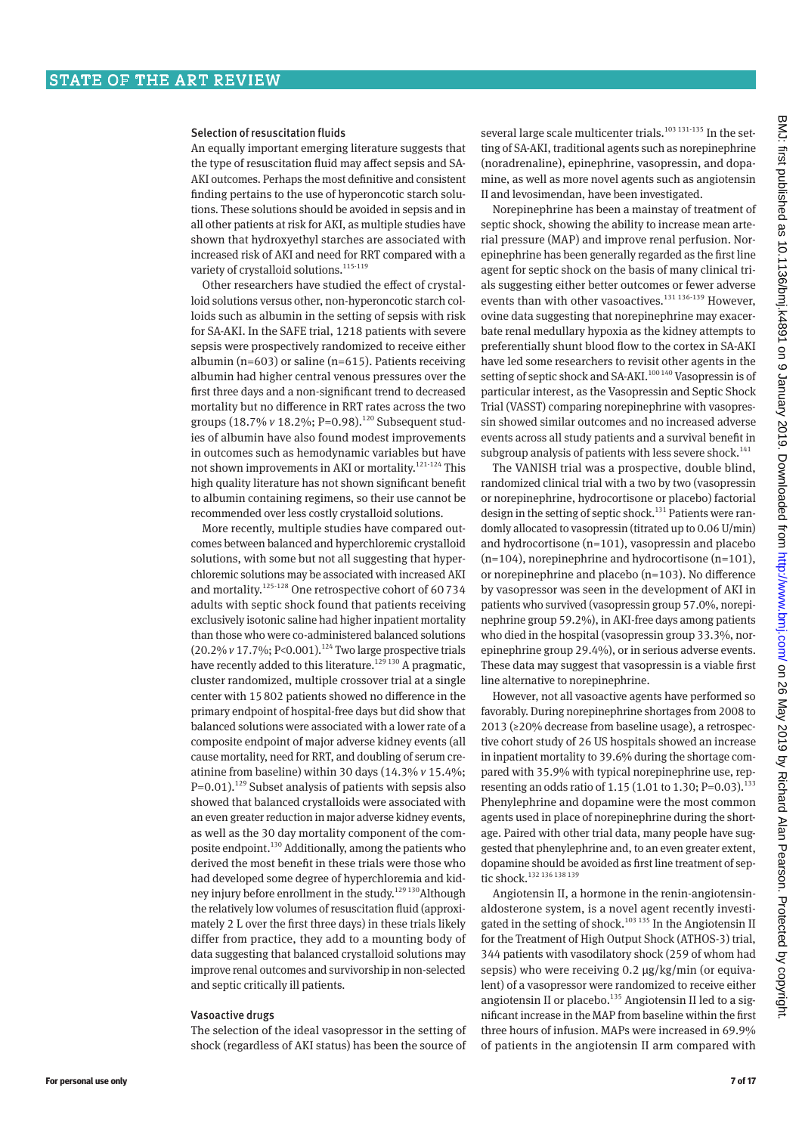#### Selection of resuscitation fluids

An equally important emerging literature suggests that the type of resuscitation fluid may affect sepsis and SA-AKI outcomes. Perhaps the most definitive and consistent finding pertains to the use of hyperoncotic starch solutions. These solutions should be avoided in sepsis and in all other patients at risk for AKI, as multiple studies have shown that hydroxyethyl starches are associated with increased risk of AKI and need for RRT compared with a variety of crystalloid solutions.<sup>115-119</sup>

Other researchers have studied the effect of crystalloid solutions versus other, non-hyperoncotic starch colloids such as albumin in the setting of sepsis with risk for SA-AKI. In the SAFE trial, 1218 patients with severe sepsis were prospectively randomized to receive either albumin ( $n=603$ ) or saline ( $n=615$ ). Patients receiving albumin had higher central venous pressures over the first three days and a non-significant trend to decreased mortality but no difference in RRT rates across the two groups (18.7% *v* 18.2%; P=0.98).120 Subsequent studies of albumin have also found modest improvements in outcomes such as hemodynamic variables but have not shown improvements in AKI or mortality.121-124 This high quality literature has not shown significant benefit to albumin containing regimens, so their use cannot be recommended over less costly crystalloid solutions.

More recently, multiple studies have compared outcomes between balanced and hyperchloremic crystalloid solutions, with some but not all suggesting that hyperchloremic solutions may be associated with increased AKI and mortality.125-128 One retrospective cohort of 60734 adults with septic shock found that patients receiving exclusively isotonic saline had higher inpatient mortality than those who were co-administered balanced solutions (20.2% *v* 17.7%; P<0.001).124 Two large prospective trials have recently added to this literature.<sup>129 130</sup> A pragmatic, cluster randomized, multiple crossover trial at a single center with 15802 patients showed no difference in the primary endpoint of hospital-free days but did show that balanced solutions were associated with a lower rate of a composite endpoint of major adverse kidney events (all cause mortality, need for RRT, and doubling of serum creatinine from baseline) within 30 days (14.3% *v* 15.4%;  $P=0.01$ .<sup>129</sup> Subset analysis of patients with sepsis also showed that balanced crystalloids were associated with an even greater reduction in major adverse kidney events, as well as the 30 day mortality component of the composite endpoint.130 Additionally, among the patients who derived the most benefit in these trials were those who had developed some degree of hyperchloremia and kidney injury before enrollment in the study.<sup>129 130</sup> Although the relatively low volumes of resuscitation fluid (approximately 2 L over the first three days) in these trials likely differ from practice, they add to a mounting body of data suggesting that balanced crystalloid solutions may improve renal outcomes and survivorship in non-selected and septic critically ill patients.

#### Vasoactive drugs

The selection of the ideal vasopressor in the setting of shock (regardless of AKI status) has been the source of several large scale multicenter trials.<sup>103 131-135</sup> In the setting of SA-AKI, traditional agents such as norepinephrine (noradrenaline), epinephrine, vasopressin, and dopamine, as well as more novel agents such as angiotensin II and levosimendan, have been investigated.

Norepinephrine has been a mainstay of treatment of septic shock, showing the ability to increase mean arterial pressure (MAP) and improve renal perfusion. Norepinephrine has been generally regarded as the first line agent for septic shock on the basis of many clinical trials suggesting either better outcomes or fewer adverse events than with other vasoactives.<sup>131 136-139</sup> However, ovine data suggesting that norepinephrine may exacerbate renal medullary hypoxia as the kidney attempts to preferentially shunt blood flow to the cortex in SA-AKI have led some researchers to revisit other agents in the setting of septic shock and SA-AKI.<sup>100 140</sup> Vasopressin is of particular interest, as the Vasopressin and Septic Shock Trial (VASST) comparing norepinephrine with vasopressin showed similar outcomes and no increased adverse events across all study patients and a survival benefit in subgroup analysis of patients with less severe shock.<sup>141</sup>

The VANISH trial was a prospective, double blind, randomized clinical trial with a two by two (vasopressin or norepinephrine, hydrocortisone or placebo) factorial design in the setting of septic shock.<sup>131</sup> Patients were randomly allocated to vasopressin (titrated up to 0.06 U/min) and hydrocortisone (n=101), vasopressin and placebo (n=104), norepinephrine and hydrocortisone (n=101), or norepinephrine and placebo (n=103). No difference by vasopressor was seen in the development of AKI in patients who survived (vasopressin group 57.0%, norepinephrine group 59.2%), in AKI-free days among patients who died in the hospital (vasopressin group 33.3%, norepinephrine group 29.4%), or in serious adverse events. These data may suggest that vasopressin is a viable first line alternative to norepinephrine.

However, not all vasoactive agents have performed so favorably. During norepinephrine shortages from 2008 to 2013 (≥20% decrease from baseline usage), a retrospective cohort study of 26 US hospitals showed an increase in inpatient mortality to 39.6% during the shortage compared with 35.9% with typical norepinephrine use, representing an odds ratio of 1.15 (1.01 to 1.30; P=0.03).<sup>133</sup> Phenylephrine and dopamine were the most common agents used in place of norepinephrine during the shortage. Paired with other trial data, many people have suggested that phenylephrine and, to an even greater extent, dopamine should be avoided as first line treatment of septic shock.<sup>132 136</sup> 138 139

Angiotensin II, a hormone in the renin-angiotensinaldosterone system, is a novel agent recently investigated in the setting of shock.<sup>103 135</sup> In the Angiotensin II for the Treatment of High Output Shock (ATHOS-3) trial, 344 patients with vasodilatory shock (259 of whom had sepsis) who were receiving 0.2  $\mu$ g/kg/min (or equivalent) of a vasopressor were randomized to receive either angiotensin II or placebo.<sup>135</sup> Angiotensin II led to a significant increase in the MAP from baseline within the first three hours of infusion. MAPs were increased in 69.9% of patients in the angiotensin II arm compared with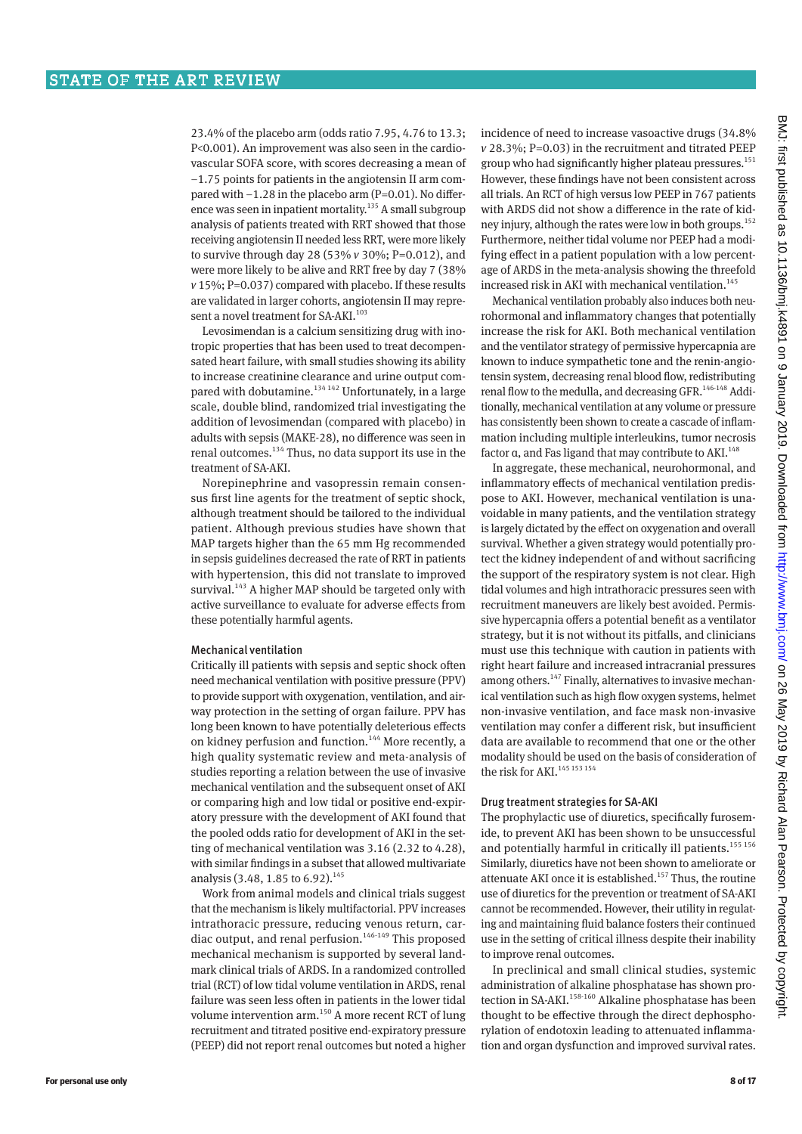23.4% of the placebo arm (odds ratio 7.95, 4.76 to 13.3; P<0.001). An improvement was also seen in the cardiovascular SOFA score, with scores decreasing a mean of –1.75 points for patients in the angiotensin II arm compared with –1.28 in the placebo arm (P=0.01). No difference was seen in inpatient mortality.<sup>135</sup> A small subgroup analysis of patients treated with RRT showed that those receiving angiotensin II needed less RRT, were more likely to survive through day 28 (53% *v* 30%; P=0.012), and were more likely to be alive and RRT free by day 7 (38% *v* 15%; P=0.037) compared with placebo. If these results are validated in larger cohorts, angiotensin II may represent a novel treatment for SA-AKI.<sup>103</sup>

Levosimendan is a calcium sensitizing drug with inotropic properties that has been used to treat decompensated heart failure, with small studies showing its ability to increase creatinine clearance and urine output compared with dobutamine.<sup>134 142</sup> Unfortunately, in a large scale, double blind, randomized trial investigating the addition of levosimendan (compared with placebo) in adults with sepsis (MAKE-28), no difference was seen in renal outcomes.<sup>134</sup> Thus, no data support its use in the treatment of SA-AKI.

Norepinephrine and vasopressin remain consensus first line agents for the treatment of septic shock, although treatment should be tailored to the individual patient. Although previous studies have shown that MAP targets higher than the 65 mm Hg recommended in sepsis guidelines decreased the rate of RRT in patients with hypertension, this did not translate to improved survival.<sup>143</sup> A higher MAP should be targeted only with active surveillance to evaluate for adverse effects from these potentially harmful agents.

#### Mechanical ventilation

Critically ill patients with sepsis and septic shock often need mechanical ventilation with positive pressure (PPV) to provide support with oxygenation, ventilation, and airway protection in the setting of organ failure. PPV has long been known to have potentially deleterious effects on kidney perfusion and function.<sup>144</sup> More recently, a high quality systematic review and meta-analysis of studies reporting a relation between the use of invasive mechanical ventilation and the subsequent onset of AKI or comparing high and low tidal or positive end-expiratory pressure with the development of AKI found that the pooled odds ratio for development of AKI in the setting of mechanical ventilation was 3.16 (2.32 to 4.28), with similar findings in a subset that allowed multivariate analysis (3.48, 1.85 to 6.92).<sup>145</sup>

Work from animal models and clinical trials suggest that the mechanism is likely multifactorial. PPV increases intrathoracic pressure, reducing venous return, cardiac output, and renal perfusion.<sup>146-149</sup> This proposed mechanical mechanism is supported by several landmark clinical trials of ARDS. In a randomized controlled trial (RCT) of low tidal volume ventilation in ARDS, renal failure was seen less often in patients in the lower tidal volume intervention arm.<sup>150</sup> A more recent RCT of lung recruitment and titrated positive end-expiratory pressure (PEEP) did not report renal outcomes but noted a higher

incidence of need to increase vasoactive drugs (34.8% *v* 28.3%; P=0.03) in the recruitment and titrated PEEP group who had significantly higher plateau pressures.<sup>151</sup> However, these findings have not been consistent across all trials. An RCT of high versus low PEEP in 767 patients with ARDS did not show a difference in the rate of kidney injury, although the rates were low in both groups.<sup>152</sup> Furthermore, neither tidal volume nor PEEP had a modifying effect in a patient population with a low percentage of ARDS in the meta-analysis showing the threefold increased risk in AKI with mechanical ventilation. $145$ 

Mechanical ventilation probably also induces both neurohormonal and inflammatory changes that potentially increase the risk for AKI. Both mechanical ventilation and the ventilator strategy of permissive hypercapnia are known to induce sympathetic tone and the renin-angiotensin system, decreasing renal blood flow, redistributing renal flow to the medulla, and decreasing GFR.<sup>146-148</sup> Additionally, mechanical ventilation at any volume or pressure has consistently been shown to create a cascade of inflammation including multiple interleukins, tumor necrosis factor  $\alpha$ , and Fas ligand that may contribute to AKI.<sup>148</sup>

In aggregate, these mechanical, neurohormonal, and inflammatory effects of mechanical ventilation predispose to AKI. However, mechanical ventilation is unavoidable in many patients, and the ventilation strategy is largely dictated by the effect on oxygenation and overall survival. Whether a given strategy would potentially protect the kidney independent of and without sacrificing the support of the respiratory system is not clear. High tidal volumes and high intrathoracic pressures seen with recruitment maneuvers are likely best avoided. Permissive hypercapnia offers a potential benefit as a ventilator strategy, but it is not without its pitfalls, and clinicians must use this technique with caution in patients with right heart failure and increased intracranial pressures among others.<sup>147</sup> Finally, alternatives to invasive mechanical ventilation such as high flow oxygen systems, helmet non-invasive ventilation, and face mask non-invasive ventilation may confer a different risk, but insufficient data are available to recommend that one or the other modality should be used on the basis of consideration of the risk for AKI.<sup>145 153 154</sup>

#### Drug treatment strategies for SA-AKI

The prophylactic use of diuretics, specifically furosemide, to prevent AKI has been shown to be unsuccessful and potentially harmful in critically ill patients.<sup>155 156</sup> Similarly, diuretics have not been shown to ameliorate or attenuate AKI once it is established.<sup>157</sup> Thus, the routine use of diuretics for the prevention or treatment of SA-AKI cannot be recommended. However, their utility in regulating and maintaining fluid balance fosters their continued use in the setting of critical illness despite their inability to improve renal outcomes.

In preclinical and small clinical studies, systemic administration of alkaline phosphatase has shown protection in SA-AKI.<sup>158-160</sup> Alkaline phosphatase has been thought to be effective through the direct dephosphorylation of endotoxin leading to attenuated inflammation and organ dysfunction and improved survival rates.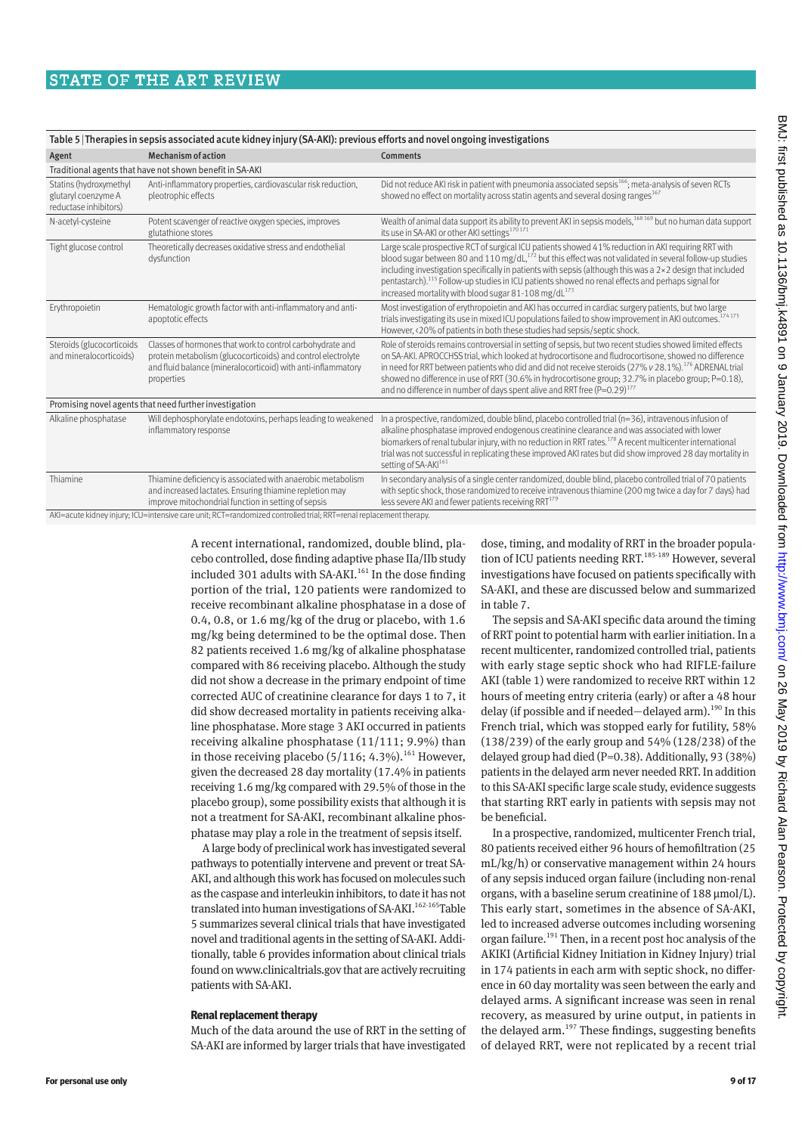| Table 5   Therapies in Sepsis associated acute Kidney Injury (3A-ANI); previous enorts and novel ongoing investigations |                                                                                                                                                                                                         |                                                                                                                                                                                                                                                                                                                                                                                                                                                                                                                                        |  |  |
|-------------------------------------------------------------------------------------------------------------------------|---------------------------------------------------------------------------------------------------------------------------------------------------------------------------------------------------------|----------------------------------------------------------------------------------------------------------------------------------------------------------------------------------------------------------------------------------------------------------------------------------------------------------------------------------------------------------------------------------------------------------------------------------------------------------------------------------------------------------------------------------------|--|--|
| Agent                                                                                                                   | <b>Mechanism of action</b>                                                                                                                                                                              | <b>Comments</b>                                                                                                                                                                                                                                                                                                                                                                                                                                                                                                                        |  |  |
|                                                                                                                         | Traditional agents that have not shown benefit in SA-AKI                                                                                                                                                |                                                                                                                                                                                                                                                                                                                                                                                                                                                                                                                                        |  |  |
| Statins (hydroxymethyl<br>glutaryl coenzyme A<br>reductase inhibitors)                                                  | Anti-inflammatory properties, cardiovascular risk reduction,<br>pleotrophic effects                                                                                                                     | Did not reduce AKI risk in patient with pneumonia associated sepsis <sup>166</sup> ; meta-analysis of seven RCTs<br>showed no effect on mortality across statin agents and several dosing ranges <sup>167</sup>                                                                                                                                                                                                                                                                                                                        |  |  |
| N-acetyl-cysteine                                                                                                       | Potent scavenger of reactive oxygen species, improves<br>glutathione stores                                                                                                                             | Wealth of animal data support its ability to prevent AKI in sepsis models, <sup>168 169</sup> but no human data support<br>its use in SA-AKI or other AKI settings <sup>170171</sup>                                                                                                                                                                                                                                                                                                                                                   |  |  |
| Tight glucose control                                                                                                   | Theoretically decreases oxidative stress and endothelial<br>dysfunction                                                                                                                                 | Large scale prospective RCT of surgical ICU patients showed 41% reduction in AKI requiring RRT with<br>blood sugar between 80 and 110 mg/dL, <sup>172</sup> but this effect was not validated in several follow-up studies<br>including investigation specifically in patients with sepsis (although this was a $2 \times 2$ design that included<br>pentastarch). <sup>115</sup> Follow-up studies in ICU patients showed no renal effects and perhaps signal for<br>increased mortality with blood sugar 81-108 mg/d $L^{173}$       |  |  |
| Erythropoietin                                                                                                          | Hematologic growth factor with anti-inflammatory and anti-<br>apoptotic effects                                                                                                                         | Most investigation of erythropoietin and AKI has occurred in cardiac surgery patients, but two large<br>trials investigating its use in mixed ICU populations failed to show improvement in AKI outcomes. <sup>174175</sup><br>However, <20% of patients in both these studies had sepsis/septic shock.                                                                                                                                                                                                                                |  |  |
| Steroids (glucocorticoids<br>and mineralocorticoids)                                                                    | Classes of hormones that work to control carbohydrate and<br>protein metabolism (glucocorticoids) and control electrolyte<br>and fluid balance (mineralocorticoid) with anti-inflammatory<br>properties | Role of steroids remains controversial in setting of sepsis, but two recent studies showed limited effects<br>on SA-AKI. APROCCHSS trial, which looked at hydrocortisone and fludrocortisone, showed no difference<br>in need for RRT between patients who did and did not receive steroids $(27\% \nu 28.1\%)$ . <sup>176</sup> ADRENAL trial<br>showed no difference in use of RRT (30.6% in hydrocortisone group; 32.7% in placebo group; P=0.18),<br>and no difference in number of days spent alive and RRT free $(P=0.29)^{177}$ |  |  |
| Promising novel agents that need further investigation                                                                  |                                                                                                                                                                                                         |                                                                                                                                                                                                                                                                                                                                                                                                                                                                                                                                        |  |  |
| Alkaline phosphatase                                                                                                    | Will dephosphorylate endotoxins, perhaps leading to weakened<br>inflammatory response                                                                                                                   | In a prospective, randomized, double blind, placebo controlled trial $(n=36)$ , intravenous infusion of<br>alkaline phosphatase improved endogenous creatinine clearance and was associated with lower<br>biomarkers of renal tubular injury, with no reduction in RRT rates. <sup>178</sup> A recent multicenter international<br>trial was not successful in replicating these improved AKI rates but did show improved 28 day mortality in<br>setting of SA-AKI <sup>161</sup>                                                      |  |  |
| Thiamine                                                                                                                | Thiamine deficiency is associated with anaerobic metabolism<br>and increased lactates. Ensuring thiamine repletion may<br>improve mitochondrial function in setting of sepsis                           | In secondary analysis of a single center randomized, double blind, placebo controlled trial of 70 patients<br>with septic shock, those randomized to receive intravenous thiamine (200 mg twice a day for 7 days) had<br>less severe AKI and fewer patients receiving RRT <sup>179</sup>                                                                                                                                                                                                                                               |  |  |
| AVI-pouto kidnovinium (CII-intongive care unit, BCT-randomized controlled trial, BBT-renal replacement therapy          |                                                                                                                                                                                                         |                                                                                                                                                                                                                                                                                                                                                                                                                                                                                                                                        |  |  |

#### $T_{\text{total}}$  associated accepted accepted acute kidney induced  $\epsilon$ ALKI):

AKI=acute kidney injury; ICU=intensive care unit; RCT=randomized controlled trial; RRT=renal replacement therapy.

A recent international, randomized, double blind, placebo controlled, dose finding adaptive phase IIa/IIb study included 301 adults with SA-AKI.<sup>161</sup> In the dose finding portion of the trial, 120 patients were randomized to receive recombinant alkaline phosphatase in a dose of 0.4, 0.8, or 1.6 mg/kg of the drug or placebo, with 1.6 mg/kg being determined to be the optimal dose. Then 82 patients received 1.6 mg/kg of alkaline phosphatase compared with 86 receiving placebo. Although the study did not show a decrease in the primary endpoint of time corrected AUC of creatinine clearance for days 1 to 7, it did show decreased mortality in patients receiving alkaline phosphatase. More stage 3 AKI occurred in patients receiving alkaline phosphatase (11/111; 9.9%) than in those receiving placebo  $(5/116; 4.3\%)$ .<sup>161</sup> However, given the decreased 28 day mortality (17.4% in patients receiving 1.6 mg/kg compared with 29.5% of those in the placebo group), some possibility exists that although it is not a treatment for SA-AKI, recombinant alkaline phosphatase may play a role in the treatment of sepsis itself.

A large body of preclinical work has investigated several pathways to potentially intervene and prevent or treat SA-AKI, and although this work has focused on molecules such as the caspase and interleukin inhibitors, to date it has not translated into human investigations of SA-AKI.<sup>162-165</sup>Table 5 summarizes several clinical trials that have investigated novel and traditional agents in the setting of SA-AKI. Additionally, table 6 provides information about clinical trials found on www.clinicaltrials.gov that are actively recruiting patients with SA-AKI.

#### **Renal replacement therapy**

Much of the data around the use of RRT in the setting of SA-AKI are informed by larger trials that have investigated

dose, timing, and modality of RRT in the broader population of ICU patients needing RRT.<sup>185-189</sup> However, several investigations have focused on patients specifically with SA-AKI, and these are discussed below and summarized in table 7.

The sepsis and SA-AKI specific data around the timing of RRT point to potential harm with earlier initiation. In a recent multicenter, randomized controlled trial, patients with early stage septic shock who had RIFLE-failure AKI (table 1) were randomized to receive RRT within 12 hours of meeting entry criteria (early) or after a 48 hour delay (if possible and if needed—delayed arm).<sup>190</sup> In this French trial, which was stopped early for futility, 58% (138/239) of the early group and 54% (128/238) of the delayed group had died (P=0.38). Additionally, 93 (38%) patients in the delayed arm never needed RRT. In addition to this SA-AKI specific large scale study, evidence suggests that starting RRT early in patients with sepsis may not be beneficial.

In a prospective, randomized, multicenter French trial, 80 patients received either 96 hours of hemofiltration (25 mL/kg/h) or conservative management within 24 hours of any sepsis induced organ failure (including non-renal organs, with a baseline serum creatinine of 188 µmol/L). This early start, sometimes in the absence of SA-AKI, led to increased adverse outcomes including worsening organ failure.<sup>191</sup> Then, in a recent post hoc analysis of the AKIKI (Artificial Kidney Initiation in Kidney Injury) trial in 174 patients in each arm with septic shock, no difference in 60 day mortality was seen between the early and delayed arms. A significant increase was seen in renal recovery, as measured by urine output, in patients in the delayed arm.<sup>197</sup> These findings, suggesting benefits of delayed RRT, were not replicated by a recent trial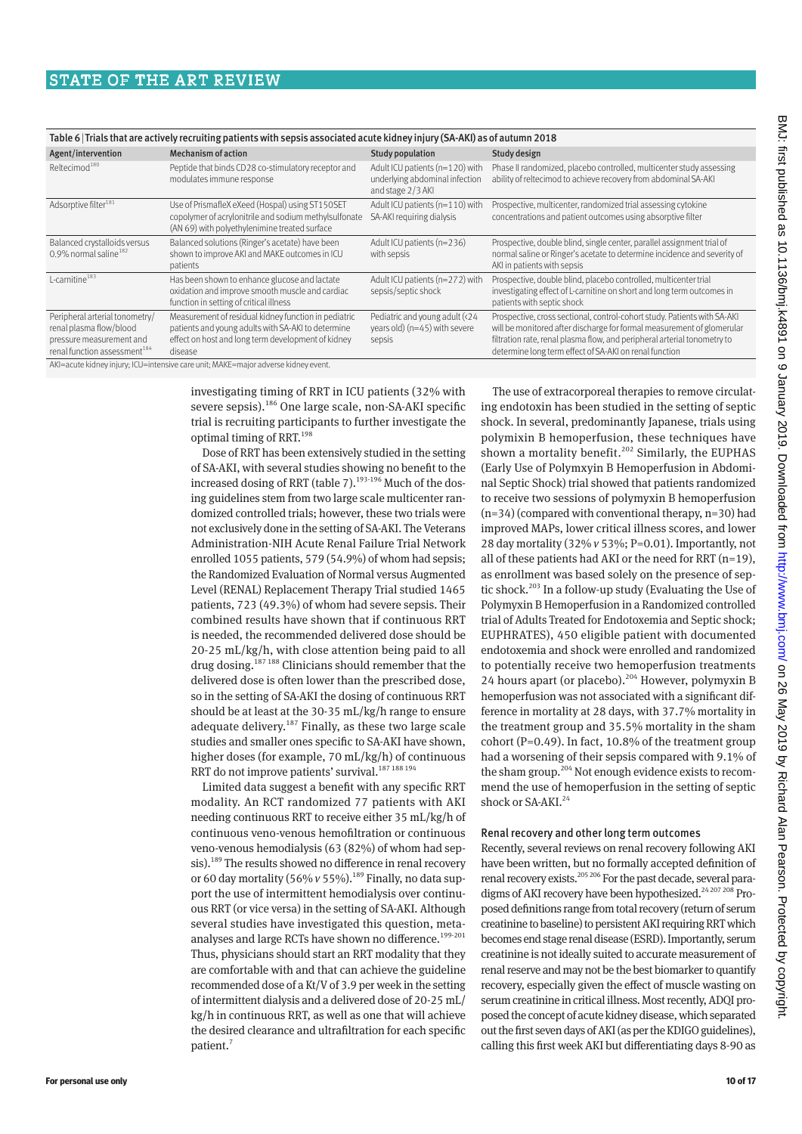| Table 6 Trials that are actively recruiting patients with sepsis associated acute kidney injury (SA-AKI) as of autumn 2018        |                                                                                                                                                                             |                                                                                        |                                                                                                                                                                                                                                                                                          |  |  |
|-----------------------------------------------------------------------------------------------------------------------------------|-----------------------------------------------------------------------------------------------------------------------------------------------------------------------------|----------------------------------------------------------------------------------------|------------------------------------------------------------------------------------------------------------------------------------------------------------------------------------------------------------------------------------------------------------------------------------------|--|--|
| Agent/intervention                                                                                                                | <b>Mechanism of action</b>                                                                                                                                                  | Study population                                                                       | Study design                                                                                                                                                                                                                                                                             |  |  |
| Reltecimod <sup>180</sup>                                                                                                         | Peptide that binds CD28 co-stimulatory receptor and<br>modulates immune response                                                                                            | Adult ICU patients (n=120) with<br>underlying abdominal infection<br>and stage 2/3 AKI | Phase II randomized, placebo controlled, multicenter study assessing<br>ability of reltecimod to achieve recovery from abdominal SA-AKI                                                                                                                                                  |  |  |
| Adsorptive filter <sup>181</sup>                                                                                                  | Use of PrismafleX eXeed (Hospal) using ST150SET<br>copolymer of acrylonitrile and sodium methylsulfonate<br>(AN 69) with polyethylenimine treated surface                   | Adult ICU patients (n=110) with<br>SA-AKI requiring dialysis                           | Prospective, multicenter, randomized trial assessing cytokine<br>concentrations and patient outcomes using absorptive filter                                                                                                                                                             |  |  |
| Balanced crystalloids versus<br>0.9% normal saline <sup>182</sup>                                                                 | Balanced solutions (Ringer's acetate) have been<br>shown to improve AKI and MAKE outcomes in ICU<br>patients                                                                | Adult ICU patients (n=236)<br>with sepsis                                              | Prospective, double blind, single center, parallel assignment trial of<br>normal saline or Ringer's acetate to determine incidence and severity of<br>AKI in patients with sepsis                                                                                                        |  |  |
| $L$ -carnitine <sup>183</sup>                                                                                                     | Has been shown to enhance glucose and lactate<br>oxidation and improve smooth muscle and cardiac<br>function in setting of critical illness                                 | Adult ICU patients (n=272) with<br>sepsis/septic shock                                 | Prospective, double blind, placebo controlled, multicenter trial<br>investigating effect of L-carnitine on short and long term outcomes in<br>patients with septic shock                                                                                                                 |  |  |
| Peripheral arterial tonometry/<br>renal plasma flow/blood<br>pressure measurement and<br>renal function assessment <sup>184</sup> | Measurement of residual kidney function in pediatric<br>patients and young adults with SA-AKI to determine<br>effect on host and long term development of kidney<br>disease | Pediatric and young adult (<24<br>years old) $(n=45)$ with severe<br>sepsis            | Prospective, cross sectional, control-cohort study. Patients with SA-AKI<br>will be monitored after discharge for formal measurement of glomerular<br>filtration rate, renal plasma flow, and peripheral arterial tonometry to<br>determine long term effect of SA-AKI on renal function |  |  |
| AKI=acute kidney injury; ICU=intensive care unit; MAKE=major adverse kidney event.                                                |                                                                                                                                                                             |                                                                                        |                                                                                                                                                                                                                                                                                          |  |  |

investigating timing of RRT in ICU patients (32% with severe sepsis).<sup>186</sup> One large scale, non-SA-AKI specific trial is recruiting participants to further investigate the optimal timing of RRT.<sup>198</sup>

Dose of RRT has been extensively studied in the setting of SA-AKI, with several studies showing no benefit to the increased dosing of RRT (table 7). $193 \cdot 196$  Much of the dosing guidelines stem from two large scale multicenter randomized controlled trials; however, these two trials were not exclusively done in the setting of SA-AKI. The Veterans Administration-NIH Acute Renal Failure Trial Network enrolled 1055 patients, 579 (54.9%) of whom had sepsis; the Randomized Evaluation of Normal versus Augmented Level (RENAL) Replacement Therapy Trial studied 1465 patients, 723 (49.3%) of whom had severe sepsis. Their combined results have shown that if continuous RRT is needed, the recommended delivered dose should be 20-25 mL/kg/h, with close attention being paid to all drug dosing.187 188 Clinicians should remember that the delivered dose is often lower than the prescribed dose, so in the setting of SA-AKI the dosing of continuous RRT should be at least at the 30-35 mL/kg/h range to ensure adequate delivery.<sup>187</sup> Finally, as these two large scale studies and smaller ones specific to SA-AKI have shown, higher doses (for example, 70 mL/kg/h) of continuous RRT do not improve patients' survival.<sup>187 188 19</sup>

Limited data suggest a benefit with any specific RRT modality. An RCT randomized 77 patients with AKI needing continuous RRT to receive either 35 mL/kg/h of continuous veno-venous hemofiltration or continuous veno-venous hemodialysis (63 (82%) of whom had sepsis).<sup>189</sup> The results showed no difference in renal recovery or 60 day mortality (56%  $v$  55%).<sup>189</sup> Finally, no data support the use of intermittent hemodialysis over continuous RRT (or vice versa) in the setting of SA-AKI. Although several studies have investigated this question, metaanalyses and large RCTs have shown no difference.<sup>199-201</sup> Thus, physicians should start an RRT modality that they are comfortable with and that can achieve the guideline recommended dose of a Kt/V of 3.9 per week in the setting of intermittent dialysis and a delivered dose of 20-25 mL/ kg/h in continuous RRT, as well as one that will achieve the desired clearance and ultrafiltration for each specific patient.<sup>7</sup>

The use of extracorporeal therapies to remove circulating endotoxin has been studied in the setting of septic shock. In several, predominantly Japanese, trials using polymixin B hemoperfusion, these techniques have shown a mortality benefit.<sup>202</sup> Similarly, the EUPHAS (Early Use of Polymxyin B Hemoperfusion in Abdominal Septic Shock) trial showed that patients randomized to receive two sessions of polymyxin B hemoperfusion  $(n=34)$  (compared with conventional therapy,  $n=30$ ) had improved MAPs, lower critical illness scores, and lower 28 day mortality (32% *v* 53%; P=0.01). Importantly, not all of these patients had AKI or the need for RRT (n=19), as enrollment was based solely on the presence of septic shock.<sup>203</sup> In a follow-up study (Evaluating the Use of Polymyxin B Hemoperfusion in a Randomized controlled trial of Adults Treated for Endotoxemia and Septic shock; EUPHRATES), 450 eligible patient with documented endotoxemia and shock were enrolled and randomized to potentially receive two hemoperfusion treatments 24 hours apart (or placebo).<sup>204</sup> However, polymyxin B hemoperfusion was not associated with a significant difference in mortality at 28 days, with 37.7% mortality in the treatment group and 35.5% mortality in the sham cohort (P=0.49). In fact, 10.8% of the treatment group had a worsening of their sepsis compared with 9.1% of the sham group.<sup>204</sup> Not enough evidence exists to recommend the use of hemoperfusion in the setting of septic shock or SA-AKI.<sup>24</sup>

#### Renal recovery and other long term outcomes

Recently, several reviews on renal recovery following AKI have been written, but no formally accepted definition of renal recovery exists.205 206 For the past decade, several paradigms of AKI recovery have been hypothesized.<sup>24 207</sup> 208 Proposed definitions range from total recovery (return of serum creatinine to baseline) to persistent AKI requiring RRT which becomes end stage renal disease (ESRD). Importantly, serum creatinine is not ideally suited to accurate measurement of renal reserve and may not be the best biomarker to quantify recovery, especially given the effect of muscle wasting on serum creatinine in critical illness. Most recently, ADQI proposed the concept of acute kidney disease, which separated out the first seven days of AKI (as per the KDIGO guidelines), calling this first week AKI but differentiating days 8-90 as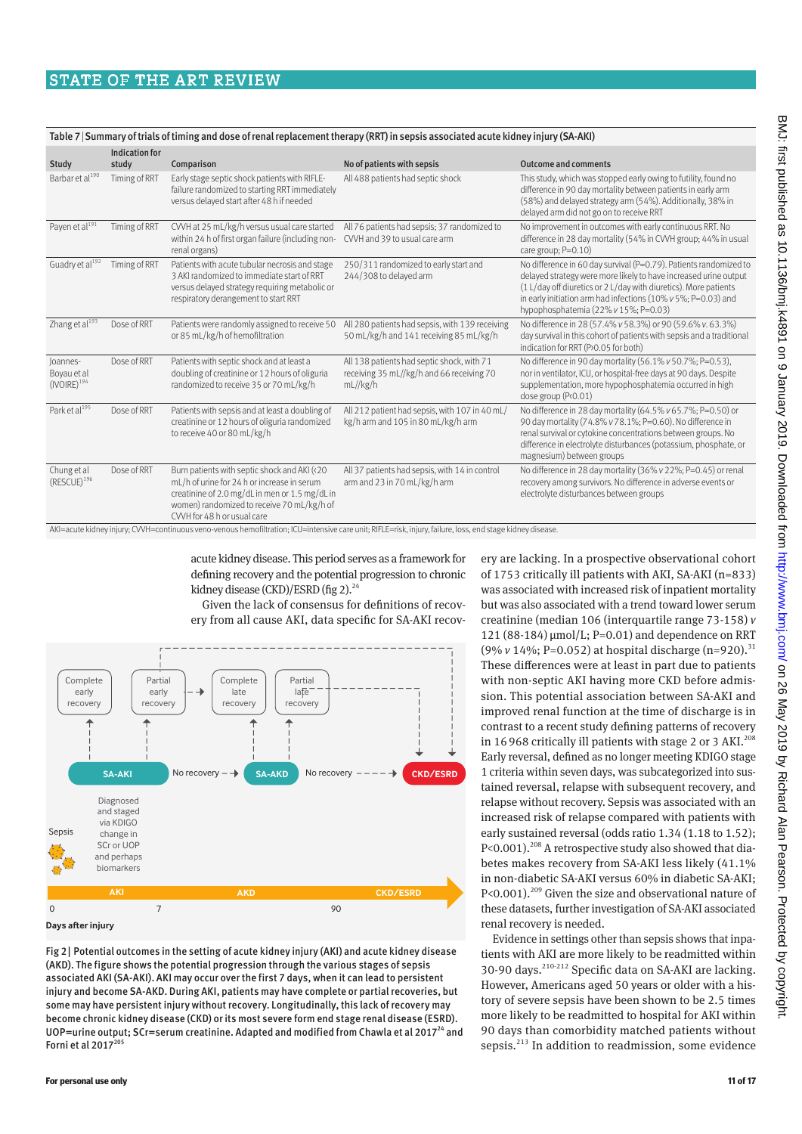# STATE OF THE ART REVIEW

| iable 7   Jammary of thats of thing and dose of renatreplacement therapy (KKT) in sepsis associated acute Kluney mjury (SA-AKT)                      |                        |                                                                                                                                                                                                                            |                                                                                                             |                                                                                                                                                                                                                                                                                                                      |  |
|------------------------------------------------------------------------------------------------------------------------------------------------------|------------------------|----------------------------------------------------------------------------------------------------------------------------------------------------------------------------------------------------------------------------|-------------------------------------------------------------------------------------------------------------|----------------------------------------------------------------------------------------------------------------------------------------------------------------------------------------------------------------------------------------------------------------------------------------------------------------------|--|
|                                                                                                                                                      | <b>Indication for</b>  |                                                                                                                                                                                                                            |                                                                                                             |                                                                                                                                                                                                                                                                                                                      |  |
| Study<br>Barbar et al <sup>190</sup>                                                                                                                 | study<br>Timing of RRT | Comparison<br>Early stage septic shock patients with RIFLE-<br>failure randomized to starting RRT immediately<br>versus delayed start after 48 h if needed                                                                 | No of patients with sepsis<br>All 488 patients had septic shock                                             | <b>Outcome and comments</b><br>This study, which was stopped early owing to futility, found no<br>difference in 90 day mortality between patients in early arm<br>(58%) and delayed strategy arm (54%). Additionally, 38% in<br>delayed arm did not go on to receive RRT                                             |  |
| Payen et al <sup>191</sup>                                                                                                                           | Timing of RRT          | CVVH at 25 mL/kg/h versus usual care started<br>within 24 h of first organ failure (including non-<br>renal organs)                                                                                                        | All 76 patients had sepsis; 37 randomized to<br>CVVH and 39 to usual care arm                               | No improvement in outcomes with early continuous RRT. No<br>difference in 28 day mortality (54% in CVVH group: 44% in usual<br>care group; P=0.10)                                                                                                                                                                   |  |
| Guadry et al <sup>192</sup>                                                                                                                          | Timing of RRT          | Patients with acute tubular necrosis and stage<br>3 AKI randomized to immediate start of RRT<br>versus delayed strategy requiring metabolic or<br>respiratory derangement to start RRT                                     | 250/311 randomized to early start and<br>244/308 to delayed arm                                             | No difference in 60 day survival (P=0.79). Patients randomized to<br>delayed strategy were more likely to have increased urine output<br>(1 L/day off diuretics or 2 L/day with diuretics). More patients<br>in early initiation arm had infections (10% $v$ 5%; P=0.03) and<br>hypophosphatemia (22% v 15%; P=0.03) |  |
| Zhang et al $^{193}$                                                                                                                                 | Dose of RRT            | Patients were randomly assigned to receive 50<br>or 85 mL/kg/h of hemofiltration                                                                                                                                           | All 280 patients had sepsis, with 139 receiving<br>50 mL/kg/h and 141 receiving 85 mL/kg/h                  | No difference in 28 (57.4% v 58.3%) or 90 (59.6% v. 63.3%)<br>day survival in this cohort of patients with sepsis and a traditional<br>indication for RRT (P>0.05 for both)                                                                                                                                          |  |
| Joannes-<br>Boyau et al<br>$(IVOIRE)^{194}$                                                                                                          | Dose of RRT            | Patients with septic shock and at least a<br>doubling of creatinine or 12 hours of oliguria<br>randomized to receive 35 or 70 mL/kg/h                                                                                      | All 138 patients had septic shock, with 71<br>receiving 35 mL//kg/h and 66 receiving 70<br>$mL/\text{kg}/h$ | No difference in 90 day mortality (56.1% v 50.7%; P=0.53),<br>nor in ventilator, ICU, or hospital-free days at 90 days. Despite<br>supplementation, more hypophosphatemia occurred in high<br>dose group (P<0.01)                                                                                                    |  |
| Park et al <sup>195</sup>                                                                                                                            | Dose of RRT            | Patients with sepsis and at least a doubling of<br>creatinine or 12 hours of oliguria randomized<br>to receive 40 or 80 mL/kg/h                                                                                            | All 212 patient had sepsis, with 107 in 40 mL/<br>kg/h arm and 105 in 80 mL/kg/h arm                        | No difference in 28 day mortality (64.5% v 65.7%; P=0.50) or<br>90 day mortality (74.8% v 78.1%; P=0.60). No difference in<br>renal survival or cytokine concentrations between groups. No<br>difference in electrolyte disturbances (potassium, phosphate, or<br>magnesium) between groups                          |  |
| Chung et al<br>$(RESCUE)^{196}$                                                                                                                      | Dose of RRT            | Burn patients with septic shock and AKI (<20<br>mL/h of urine for 24 h or increase in serum<br>creatinine of 2.0 mg/dL in men or 1.5 mg/dL in<br>women) randomized to receive 70 mL/kg/h of<br>CVVH for 48 h or usual care | All 37 patients had sepsis, with 14 in control<br>arm and 23 in 70 mL/kg/h arm                              | No difference in 28 day mortality (36% v 22%; P=0.45) or renal<br>recovery among survivors. No difference in adverse events or<br>electrolyte disturbances between groups                                                                                                                                            |  |
| AKI-acute kidney injuny CVVH-continuous veno-venous hemofiltration: ICH-intensive care unit: RIELE-risk injuny failure loss end stage kidney disease |                        |                                                                                                                                                                                                                            |                                                                                                             |                                                                                                                                                                                                                                                                                                                      |  |

#### Table 7|Summary of trials of timing and dose of renal replacement therapy (RRT) in sepsis associated acute kidney injury (SA-AKI)

AKI=acute kidney injury; CVVH=continuous veno-venous hemofiltration; ICU=intensive care unit; RIFLE=risk, injury, failure, loss, end stage kidney disease.

acute kidney disease. This period serves as a framework for defining recovery and the potential progression to chronic kidney disease (CKD)/ESRD (fig 2). $^{24}$ 

Given the lack of consensus for definitions of recovery from all cause AKI, data specific for SA-AKI recov-



Fig 2| Potential outcomes in the setting of acute kidney injury (AKI) and acute kidney disease (AKD). The figure shows the potential progression through the various stages of sepsis associated AKI (SA-AKI). AKI may occur over the first 7 days, when it can lead to persistent injury and become SA-AKD. During AKI, patients may have complete or partial recoveries, but some may have persistent injury without recovery. Longitudinally, this lack of recovery may become chronic kidney disease (CKD) or its most severe form end stage renal disease (ESRD). UOP=urine output;  $SCr =$ serum creatinine. Adapted and modified from Chawla et al 2017<sup>24</sup> and Forni et al 2017

ery are lacking. In a prospective observational cohort of 1753 critically ill patients with AKI, SA-AKI (n=833) was associated with increased risk of inpatient mortality but was also associated with a trend toward lower serum creatinine (median 106 (interquartile range 73-158) *v* 121 (88-184)  $\mu$ mol/L; P=0.01) and dependence on RRT (9% *v* 14%; P=0.052) at hospital discharge (n=920).<sup>31</sup> These differences were at least in part due to patients with non-septic AKI having more CKD before admission. This potential association between SA-AKI and improved renal function at the time of discharge is in contrast to a recent study defining patterns of recovery in 16968 critically ill patients with stage 2 or 3 AKI.<sup>208</sup> Early reversal, defined as no longer meeting KDIGO stage 1 criteria within seven days, was subcategorized into sustained reversal, relapse with subsequent recovery, and relapse without recovery. Sepsis was associated with an increased risk of relapse compared with patients with early sustained reversal (odds ratio 1.34 (1.18 to 1.52); P<0.001).<sup>208</sup> A retrospective study also showed that diabetes makes recovery from SA-AKI less likely (41.1% in non-diabetic SA-AKI versus 60% in diabetic SA-AKI; P<0.001).<sup>209</sup> Given the size and observational nature of these datasets, further investigation of SA-AKI associated renal recovery is needed.

Evidence in settings other than sepsis shows that inpatients with AKI are more likely to be readmitted within 30-90 days.<sup>210-212</sup> Specific data on SA-AKI are lacking. However, Americans aged 50 years or older with a history of severe sepsis have been shown to be 2.5 times more likely to be readmitted to hospital for AKI within 90 days than comorbidity matched patients without sepsis.<sup>213</sup> In addition to readmission, some evidence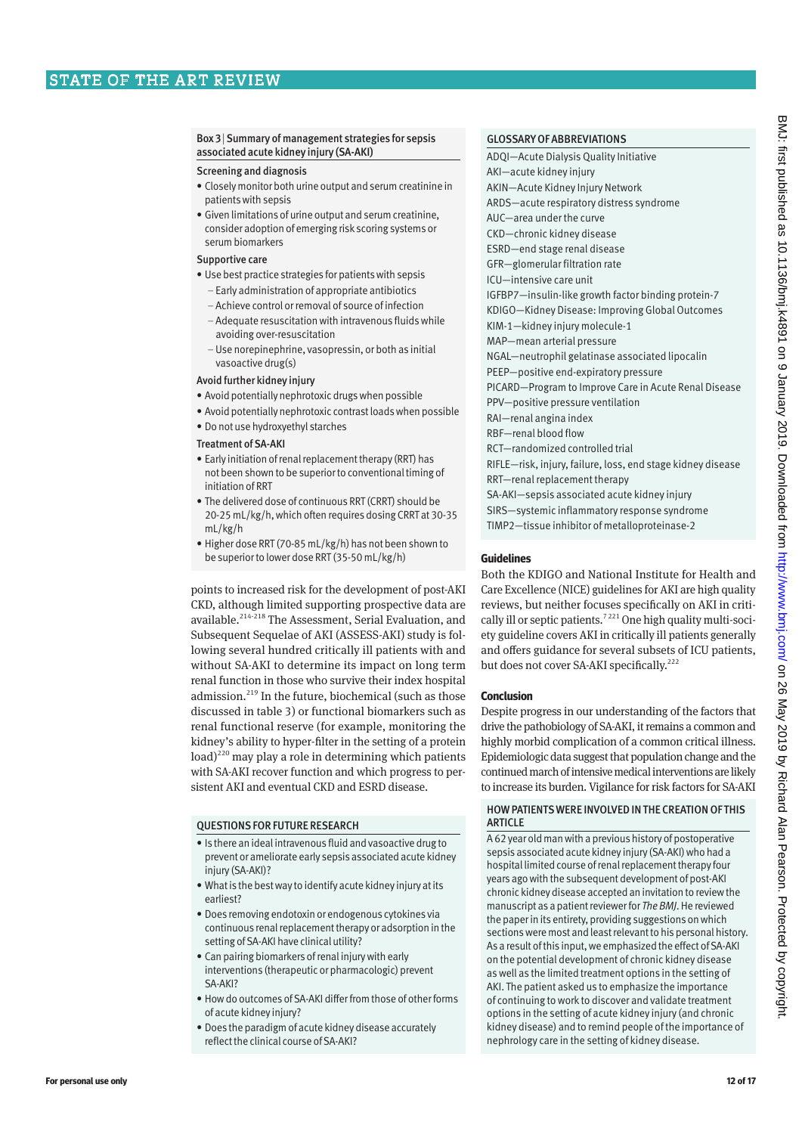#### Box 3|Summary of management strategies for sepsis associated acute kidney injury (SA-AKI)

## Screening and diagnosis

- Closely monitor both urine output and serum creatinine in patients with sepsis
- Given limitations of urine output and serum creatinine, consider adoption of emerging risk scoring systems or serum biomarkers

#### Supportive care

- Use best practice strategies for patients with sepsis
	- Early administration of appropriate antibiotics
- Achieve control or removal of source of infection
- Adequate resuscitation with intravenous fluids while avoiding over-resuscitation
- –Use norepinephrine, vasopressin, or both as initial vasoactive drug(s)

#### Avoid further kidney injury

- Avoid potentially nephrotoxic drugs when possible
- Avoid potentially nephrotoxic contrast loads when possible
- Do not use hydroxyethyl starches

#### Treatment of SA-AKI

- Early initiation of renal replacement therapy (RRT) has not been shown to be superior to conventional timing of initiation of RRT
- The delivered dose of continuous RRT (CRRT) should be 20-25 mL/kg/h, which often requires dosing CRRT at 30-35 mL/kg/h
- Higher dose RRT (70-85 mL/kg/h) has not been shown to be superior to lower dose RRT (35-50 mL/kg/h)

points to increased risk for the development of post-AKI CKD, although limited supporting prospective data are available.<sup>214-218</sup> The Assessment, Serial Evaluation, and Subsequent Sequelae of AKI (ASSESS-AKI) study is following several hundred critically ill patients with and without SA-AKI to determine its impact on long term renal function in those who survive their index hospital admission.<sup>219</sup> In the future, biochemical (such as those discussed in table 3) or functional biomarkers such as renal functional reserve (for example, monitoring the kidney's ability to hyper-filter in the setting of a protein load)<sup>220</sup> may play a role in determining which patients with SA-AKI recover function and which progress to persistent AKI and eventual CKD and ESRD disease.

#### QUESTIONS FOR FUTURE RESEARCH

- Is there an ideal intravenous fluid and vasoactive drug to prevent or ameliorate early sepsis associated acute kidney injury (SA-AKI)?
- What is the best way to identify acute kidney injury at its earliest?
- Does removing endotoxin or endogenous cytokines via continuous renal replacement therapy or adsorption in the setting of SA-AKI have clinical utility?
- Can pairing biomarkers of renal injury with early interventions (therapeutic or pharmacologic) prevent SA-AKI?
- How do outcomes of SA-AKI differ from those of other forms of acute kidney injury?
- Does the paradigm of acute kidney disease accurately reflect the clinical course of SA-AKI?

# GLOSSARY OF ABBREVIATIONS

ADQI—Acute Dialysis Quality Initiative AKI—acute kidney injury AKIN—Acute Kidney Injury Network ARDS—acute respiratory distress syndrome AUC—area under the curve CKD—chronic kidney disease ESRD—end stage renal disease GFR—glomerular filtration rate ICU—intensive care unit IGFBP7—insulin-like growth factor binding protein-7 KDIGO—Kidney Disease: Improving Global Outcomes KIM-1—kidney injury molecule-1 MAP—mean arterial pressure NGAL—neutrophil gelatinase associated lipocalin PEEP—positive end-expiratory pressure PICARD—Program to Improve Care in Acute Renal Disease PPV—positive pressure ventilation RAI—renal angina index RBF—renal blood flow RCT—randomized controlled trial RIFLE—risk, injury, failure, loss, end stage kidney disease RRT—renal replacement therapy SA-AKI—sepsis associated acute kidney injury SIRS—systemic inflammatory response syndrome TIMP2—tissue inhibitor of metalloproteinase-2

## **Guidelines**

Both the KDIGO and National Institute for Health and Care Excellence (NICE) guidelines for AKI are high quality reviews, but neither focuses specifically on AKI in critically ill or septic patients.<sup>7221</sup> One high quality multi-society guideline covers AKI in critically ill patients generally and offers guidance for several subsets of ICU patients, but does not cover SA-AKI specifically.<sup>222</sup>

#### **Conclusion**

Despite progress in our understanding of the factors that drive the pathobiology of SA-AKI, it remains a common and highly morbid complication of a common critical illness. Epidemiologic data suggest that population change and the continued march of intensive medical interventions are likely to increase its burden. Vigilance for risk factors for SA-AKI

#### HOW PATIENTS WERE INVOLVED IN THE CREATION OF THIS ARTICLE

A 62 year old man with a previous history of postoperative sepsis associated acute kidney injury (SA-AKI) who had a hospital limited course of renal replacement therapy four years ago with the subsequent development of post-AKI chronic kidney disease accepted an invitation to review the manuscript as a patient reviewer for *The BMJ*. He reviewed the paper in its entirety, providing suggestions on which sections were most and least relevant to his personal history. As a result of this input, we emphasized the effect of SA-AKI on the potential development of chronic kidney disease as well as the limited treatment options in the setting of AKI. The patient asked us to emphasize the importance of continuing to work to discover and validate treatment options in the setting of acute kidney injury (and chronic kidney disease) and to remind people of the importance of nephrology care in the setting of kidney disease.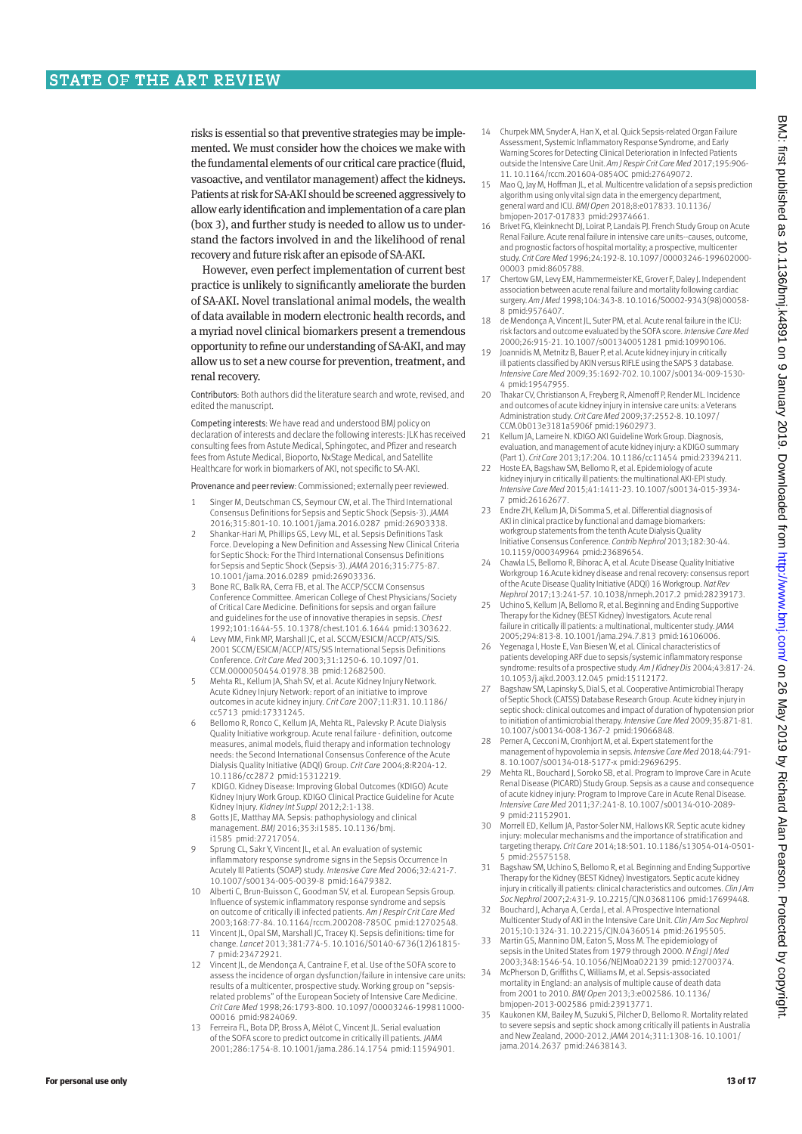BMJ: first published as 10.1136/bmj.k4891 on 9 January 2019. Downloaded from http://www.bmj.com/ on 26 May 2019 by Richard Alan Pearson. Protected by copyright BMJ: first published as 10.1136/bmj.k4891 on 9 January 2019. Downloaded from <http://www.bmj.com/> on 26 May 2019 by Richard Alan Pearson. Protected by copyright.

risks is essential so that preventive strategies may be implemented. We must consider how the choices we make with the fundamental elements of our critical care practice (fluid, vasoactive, and ventilator management) affect the kidneys. Patients at risk for SA-AKI should be screened aggressively to allow early identification and implementation of a care plan (box 3), and further study is needed to allow us to understand the factors involved in and the likelihood of renal recovery and future risk after an episode of SA-AKI.

However, even perfect implementation of current best practice is unlikely to significantly ameliorate the burden of SA-AKI. Novel translational animal models, the wealth of data available in modern electronic health records, and a myriad novel clinical biomarkers present a tremendous opportunity to refine our understanding of SA-AKI, and may allow us to set a new course for prevention, treatment, and renal recovery.

Contributors: Both authors did the literature search and wrote, revised, and edited the manuscript.

Competing interests: We have read and understood BMJ policy on declaration of interests and declare the following interests: JLK has received consulting fees from Astute Medical, Sphingotec, and Pfizer and research fees from Astute Medical, Bioporto, NxStage Medical, and Satellite Healthcare for work in biomarkers of AKI, not specific to SA-AKI.

Provenance and peer review: Commissioned; externally peer reviewed.

- Singer M, Deutschman CS, Seymour CW, et al. The Third International Consensus Definitions for Sepsis and Septic Shock (Sepsis-3). *JAMA* 2016;315:801-10. 10.1001/jama.2016.0287 pmid:26903338.
- 2 Shankar-Hari M, Phillips GS, Levy ML, et al. Sepsis Definitions Task Force. Developing a New Definition and Assessing New Clinical Criteria for Septic Shock: For the Third International Consensus Definitions for Sepsis and Septic Shock (Sepsis-3). *JAMA* 2016;315:775-87. 10.1001/jama.2016.0289 pmid:26903336.
- 3 Bone RC, Balk RA, Cerra FB, et al. The ACCP/SCCM Consensus Conference Committee. American College of Chest Physicians/Society of Critical Care Medicine. Definitions for sepsis and organ failure and guidelines for the use of innovative therapies in sepsis. *Chest* 1992;101:1644-55. 10.1378/chest.101.6.1644 pmid:1303622.
- 4 Levy MM, Fink MP, Marshall JC, et al. SCCM/ESICM/ACCP/ATS/SIS. 2001 SCCM/ESICM/ACCP/ATS/SIS International Sepsis Definitions Conference. *Crit Care Med* 2003;31:1250-6. 10.1097/01. CCM.0000050454.01978.3B pmid:12682500.
- 5 Mehta RL, Kellum JA, Shah SV, et al. Acute Kidney Injury Network. Acute Kidney Injury Network: report of an initiative to improve outcomes in acute kidney injury. *Crit Care* 2007;11:R31. 10.1186/ cc5713 pmid:17331245.
- 6 Bellomo R, Ronco C, Kellum JA, Mehta RL, Palevsky P. Acute Dialysis Quality Initiative workgroup. Acute renal failure - definition, outcome measures, animal models, fluid therapy and information technology needs: the Second International Consensus Conference of the Acute Dialysis Quality Initiative (ADQI) Group. *Crit Care* 2004;8:R204-12. 10.1186/cc2872 pmid:15312219.
- 7 KDIGO. Kidney Disease: Improving Global Outcomes (KDIGO) Acute Kidney Injury Work Group. KDIGO Clinical Practice Guideline for Acute Kidney Injury. *Kidney Int Suppl* 2012;2:1-138.
- 8 Gotts JE, Matthay MA. Sepsis: pathophysiology and clinical management. *BMJ* 2016;353:i1585. 10.1136/bmj. i1585 pmid:27217054.
- 9 Sprung CL, Sakr Y, Vincent JL, et al. An evaluation of systemic inflammatory response syndrome signs in the Sepsis Occurrence In Acutely Ill Patients (SOAP) study. *Intensive Care Med* 2006;32:421-7. 10.1007/s00134-005-0039-8 pmid:16479382.
- 10 Alberti C, Brun-Buisson C, Goodman SV, et al. European Sepsis Group. Influence of systemic inflammatory response syndrome and sepsis on outcome of critically ill infected patients. *Am J Respir Crit Care Med* 2003;168:77-84. 10.1164/rccm.200208-785OC pmid:12702548.
- 11 Vincent JL, Opal SM, Marshall JC, Tracey KJ. Sepsis definitions: time for change. *Lancet* 2013;381:774-5. 10.1016/S0140-6736(12)61815 nmid:23472921
- 12 Vincent JL, de Mendonça A, Cantraine F, et al. Use of the SOFA score to assess the incidence of organ dysfunction/failure in intensive care units: results of a multicenter, prospective study. Working group on "sepsisrelated problems" of the European Society of Intensive Care Medicine. *Crit Care Med* 1998;26:1793-800. 10.1097/00003246-199811000- 00016 pmid:9824069.
- 13 Ferreira FL, Bota DP, Bross A, Mélot C, Vincent JL. Serial evaluation of the SOFA score to predict outcome in critically ill patients. *JAMA* 2001;286:1754-8. 10.1001/jama.286.14.1754 pmid:11594901.
- 14 Churpek MM, Snyder A, Han X, et al. Quick Sepsis-related Organ Failure Assessment, Systemic Inflammatory Response Syndrome, and Early Warning Scores for Detecting Clinical Deterioration in Infected Patients outside the Intensive Care Unit. *Am J Respir Crit Care Med* 2017;195:906- 11. 10.1164/rccm.201604-0854OC pmid:27649072.
- 15 Mao Q, Jay M, Hoffman JL, et al. Multicentre validation of a sepsis prediction algorithm using only vital sign data in the emergency department, general ward and ICU. *BMJ Open* 2018;8:e017833. 10.1136/ bmjopen-2017-017833 pmid:29374661.
- 16 Brivet FG, Kleinknecht DJ, Loirat P, Landais PJ. French Study Group on Acute Renal Failure. Acute renal failure in intensive care units--causes, outcome, and prognostic factors of hospital mortality; a prospective, multicenter study. *Crit Care Med* 1996;24:192-8. 10.1097/00003246-199602000- 00003 pmid:8605788.
- 17 Chertow GM, Levy EM, Hammermeister KE, Grover F, Daley J. Independent association between acute renal failure and mortality following cardiac surgery. *Am J Med* 1998;104:343-8. 10.1016/S0002-9343(98)00058- 8 pmid:9576407.
- 18 de Mendonça A, Vincent JL, Suter PM, et al. Acute renal failure in the ICU: risk factors and outcome evaluated by the SOFA score. *Intensive Care Med* 2000;26:915-21. 10.1007/s001340051281 pmid:10990106.
- 19 Joannidis M, Metnitz B, Bauer P, et al. Acute kidney injury in critically ill patients classified by AKIN versus RIFLE using the SAPS 3 database. *Intensive Care Med* 2009;35:1692-702. 10.1007/s00134-009-1530- 4 pmid:19547955.
- 20 Thakar CV, Christianson A, Freyberg R, Almenoff P, Render ML. Incidence and outcomes of acute kidney injury in intensive care units: a Veterans Administration study. *Crit Care Med* 2009;37:2552-8. 10.1097/ CCM.0b013e3181a5906f pmid:19602973.
- 21 Kellum JA, Lameire N. KDIGO AKI Guideline Work Group. Diagnosis, evaluation, and management of acute kidney injury: a KDIGO summary (Part 1). *Crit Care* 2013;17:204. 10.1186/cc11454 pmid:23394211.
- 22 Hoste EA, Bagshaw SM, Bellomo R, et al. Epidemiology of acute kidney injury in critically ill patients: the multinational AKI-EPI study. *Intensive Care Med* 2015;41:1411-23. 10.1007/s00134-015-3934- 7 pmid:26162677.
- 23 Endre ZH, Kellum JA, Di Somma S, et al. Differential diagnosis of AKI in clinical practice by functional and damage biomarkers: workgroup statements from the tenth Acute Dialysis Quality Initiative Consensus Conference. *Contrib Nephrol* 2013;182:30-44. 10.1159/000349964 pmid:23689654.
- 24 Chawla LS, Bellomo R, Bihorac A, et al. Acute Disease Quality Initiative Workgroup 16.Acute kidney disease and renal recovery: consensus report of the Acute Disease Quality Initiative (ADQI) 16 Workgroup. *Nat Rev Nephrol* 2017;13:241-57. 10.1038/nrneph.2017.2 pmid:28239173.
- Uchino S, Kellum JA, Bellomo R, et al. Beginning and Ending Supportive Therapy for the Kidney (BEST Kidney) Investigators. Acute renal failure in critically ill patients: a multinational, multicenter study. *JAMA* 2005;294:813-8. 10.1001/jama.294.7.813 pmid:16106006.
- 26 Yegenaga I, Hoste E, Van Biesen W, et al. Clinical characteristics of patients developing ARF due to sepsis/systemic inflammatory response syndrome: results of a prospective study. *Am J Kidney Dis* 2004;43:817-24. 10.1053/j.ajkd.2003.12.045 pmid:15112172.
- 27 Bagshaw SM, Lapinsky S, Dial S, et al. Cooperative Antimicrobial Therapy of Septic Shock (CATSS) Database Research Group. Acute kidney injury in septic shock: clinical outcomes and impact of duration of hypotension prior to initiation of antimicrobial therapy. *Intensive Care Med* 2009;35:871-81. 10.1007/s00134-008-1367-2 pmid:19066848.
- 28 Perner A, Cecconi M, Cronhjort M, et al. Expert statement for the management of hypovolemia in sepsis. *Intensive Care Med* 2018;44:791- 8. 10.1007/s00134-018-5177-x pmid:29696295.
- 29 Mehta RL, Bouchard J, Soroko SB, et al. Program to Improve Care in Acute Renal Disease (PICARD) Study Group. Sepsis as a cause and consequence of acute kidney injury: Program to Improve Care in Acute Renal Disease. *Intensive Care Med* 2011;37:241-8. 10.1007/s00134-010-2089- 9 pmid:21152901.
- 30 Morrell ED, Kellum JA, Pastor-Soler NM, Hallows KR. Septic acute kidney injury: molecular mechanisms and the importance of stratification and targeting therapy. *Crit Care* 2014;18:501. 10.1186/s13054-014-0501- 5 pmid:25575158.
- 31 Bagshaw SM, Uchino S, Bellomo R, et al. Beginning and Ending Supportive Therapy for the Kidney (BEST Kidney) Investigators. Septic acute kidney injury in critically ill patients: clinical characteristics and outcomes. *Clin J Am Soc Nephrol* 2007;2:431-9. 10.2215/CJN.03681106 pmid:17699448.
- 32 Bouchard J, Acharya A, Cerda J, et al. A Prospective International Multicenter Study of AKI in the Intensive Care Unit. *Clin J Am Soc Nephrol* 2015;10:1324-31. 10.2215/CJN.04360514 pmid:26195505.
- 33 Martin GS, Mannino DM, Eaton S, Moss M. The epidemiology of sepsis in the United States from 1979 through 2000. *N Engl J Med* 2003;348:1546-54. 10.1056/NEJMoa022139 pmid:12700374.
- 34 McPherson D, Griffiths C, Williams M, et al. Sepsis-associated mortality in England: an analysis of multiple cause of death data from 2001 to 2010. *BMJ Open* 2013;3:e002586. 10.1136/ bmjopen-2013-002586 pmid:23913771.
- 35 Kaukonen KM, Bailey M, Suzuki S, Pilcher D, Bellomo R. Mortality related to severe sepsis and septic shock among critically ill patients in Australia and New Zealand, 2000-2012. *JAMA* 2014;311:1308-16. 10.1001/ jama.2014.2637 pmid:24638143.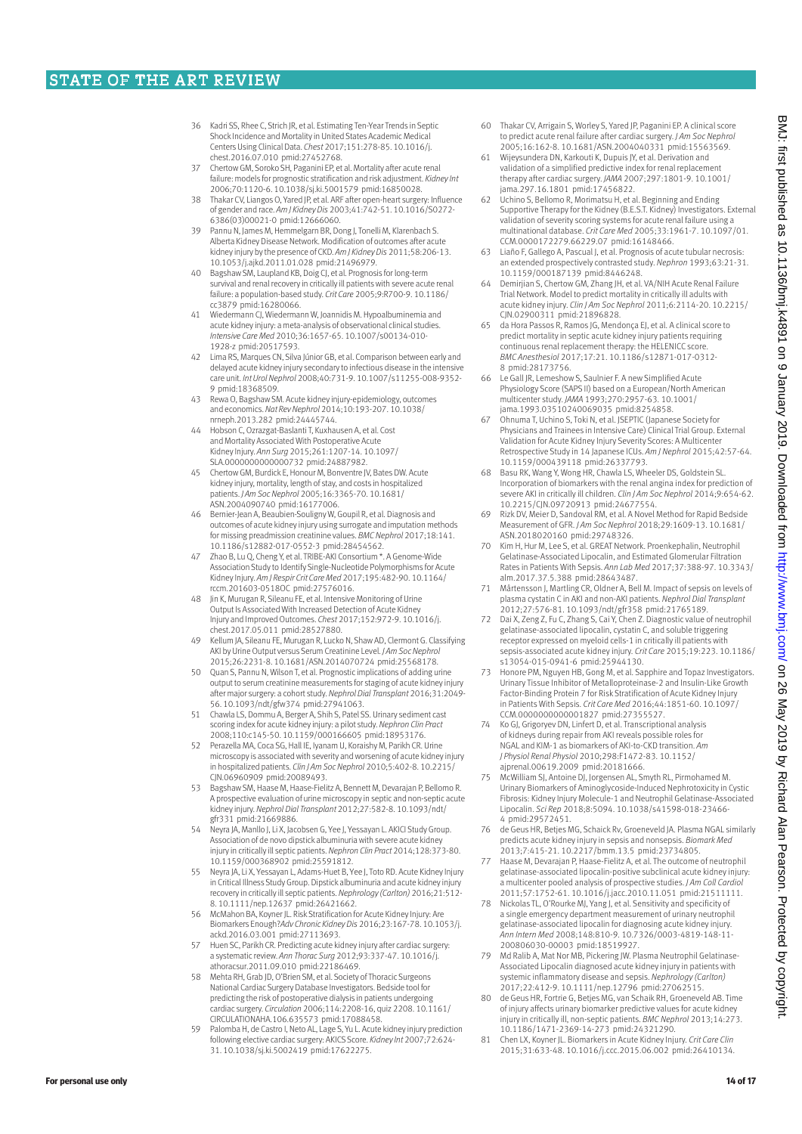BMJ: first published as 10.1136/bmj.k4891 on 9 January 2019. Downloaded from <http://www.bmj.com/> on 26 May 2019 by Richard Alan Pearson. Protected by copyright.

i 26 May 2019 by Richard Alan Pearson. Protected by copyright

BMJ: first published as 10.1136/bmj.k4891 on 9 January 2019. Downloaded from http://www.bmj.com/ on

# STATE OF THE ART REVIEW

- 36 Kadri SS, Rhee C, Strich JR, et al. Estimating Ten-Year Trends in Septic Shock Incidence and Mortality in United States Academic Medical Centers Using Clinical Data. *Chest* 2017;151:278-85. 10.1016/j. chest.2016.07.010 pmid:27452768.
- 37 Chertow GM, Soroko SH, Paganini EP, et al. Mortality after acute renal failure: models for prognostic stratification and risk adjustment. *Kidney Int* 2006;70:1120-6. 10.1038/sj.ki.5001579 pmid:16850028.
- 38 Thakar CV, Liangos O, Yared JP, et al. ARF after open-heart surgery: Influence of gender and race. *Am J Kidney Dis* 2003;41:742-51. 10.1016/S0272- 6386(03)00021-0 pmid:12666060.
- 39 Pannu N, James M, Hemmelgarn BR, Dong J, Tonelli M, Klarenbach S. Alberta Kidney Disease Network. Modification of outcomes after acute kidney injury by the presence of CKD. *Am J Kidney Dis* 2011;58:206-13. 10.1053/j.ajkd.2011.01.028 pmid:21496979.
- 40 Bagshaw SM, Laupland KB, Doig CJ, et al. Prognosis for long-term survival and renal recovery in critically ill patients with severe acute renal failure: a population-based study. *Crit Care* 2005;9:R700-9. 10.1186/ cc3879 pmid:16280066.
- 41 Wiedermann CJ, Wiedermann W, Joannidis M. Hypoalbuminemia and acute kidney injury: a meta-analysis of observational clinical studies. *Intensive Care Med* 2010;36:1657-65. 10.1007/s00134-010- 1928-z pmid:20517593.
- 42 Lima RS, Marques CN, Silva Júnior GB, et al. Comparison between early and delayed acute kidney injury secondary to infectious disease in the intensive care unit. *Int Urol Nephrol* 2008;40:731-9. 10.1007/s11255-008-9352- 9 pmid:18368509.
- 43 Rewa O, Bagshaw SM. Acute kidney injury-epidemiology, outcomes and economics. *Nat Rev Nephrol* 2014;10:193-207. 10.1038/ nrneph.2013.282 pmid:24445744.
- 44 Hobson C, Ozrazgat-Baslanti T, Kuxhausen A, et al. Cost and Mortality Associated With Postoperative Acute Kidney Injury. *Ann Surg* 2015;261:1207-14. 10.1097/ SLA.0000000000000732 pmid:24887982.
- 45 Chertow GM, Burdick E, Honour M, Bonventre JV, Bates DW. Acute kidney injury, mortality, length of stay, and costs in hospitalized patients. *J Am Soc Nephrol* 2005;16:3365-70. 10.1681/ ASN.2004090740 pmid:16177006.
- 46 Bernier-Jean A, Beaubien-Souligny W, Goupil R, et al. Diagnosis and outcomes of acute kidney injury using surrogate and imputation methods for missing preadmission creatinine values. *BMC Nephrol* 2017;18:141.
- 10.1186/s12882-017-0552-3 pmid:28454562. 47 Zhao B, Lu Q, Cheng Y, et al. TRIBE-AKI Consortium \*. A Genome-Wide Association Study to Identify Single-Nucleotide Polymorphisms for Acute Kidney Injury. *Am J Respir Crit Care Med* 2017;195:482-90. 10.1164/ rccm.201603-0518OC pmid:27576016.
- 48 Jin K, Murugan R, Sileanu FE, et al. Intensive Monitoring of Urine Output Is Associated With Increased Detection of Acute Kidney Injury and Improved Outcomes. *Chest* 2017;152:972-9. 10.1016/j. chest.2017.05.011 pmid:28527880.
- 49 Kellum JA, Sileanu FE, Murugan R, Lucko N, Shaw AD, Clermont G. Classifying AKI by Urine Output versus Serum Creatinine Level. *J Am Soc Nephrol* 2015;26:2231-8. 10.1681/ASN.2014070724 pmid:25568178.
- Quan S, Pannu N, Wilson T, et al. Prognostic implications of adding urine output to serum creatinine measurements for staging of acute kidney injury after major surgery: a cohort study. *Nephrol Dial Transplant* 2016;31:2049- 56. 10.1093/ndt/gfw374 pmid:27941063.
- 51 Chawla LS, Dommu A, Berger A, Shih S, Patel SS. Urinary sediment cast scoring index for acute kidney injury: a pilot study. *Nephron Clin Pract* 2008;110:c145-50. 10.1159/000166605 pmid:18953176.
- 52 Perazella MA, Coca SG, Hall IE, Iyanam U, Koraishy M, Parikh CR. Urine microscopy is associated with severity and worsening of acute kidney injury in hospitalized patients. *Clin J Am Soc Nephrol* 2010;5:402-8. 10.2215/ CJN.06960909 pmid:20089493.
- 53 Bagshaw SM, Haase M, Haase-Fielitz A, Bennett M, Devarajan P, Bellomo R. A prospective evaluation of urine microscopy in septic and non-septic acute kidney injury. *Nephrol Dial Transplant* 2012;27:582-8. 10.1093/ndt/ gfr331 pmid:21669886.
- 54 Neyra JA, Manllo J, Li X, Jacobsen G, Yee J, Yessayan L. AKICI Study Group. Association of de novo dipstick albuminuria with severe acute kidney injury in critically ill septic patients. *Nephron Clin Pract* 2014;128:373-80. 10.1159/000368902 pmid:25591812.
- 55 Neyra JA, Li X, Yessayan L, Adams-Huet B, Yee J, Toto RD. Acute Kidney Injury in Critical Illness Study Group. Dipstick albuminuria and acute kidney injury recovery in critically ill septic patients. *Nephrology (Carlton)* 2016;21:512- 8. 10.1111/nep.12637 pmid:26421662.
- 56 McMahon BA, Koyner JL. Risk Stratification for Acute Kidney Injury: Are Biomarkers Enough?*Adv Chronic Kidney Dis* 2016;23:167-78. 10.1053/j. ackd.2016.03.001 pmid:27113693.
- 57 Huen SC, Parikh CR. Predicting acute kidney injury after cardiac surgery: a systematic review. *Ann Thorac Surg* 2012;93:337-47. 10.1016/j. athoracsur.2011.09.010 pmid:22186469.
- 58 Mehta RH, Grab JD, O'Brien SM, et al. Society of Thoracic Surgeons National Cardiac Surgery Database Investigators. Bedside tool for predicting the risk of postoperative dialysis in patients undergoing cardiac surgery. *Circulation* 2006;114:2208-16, quiz 2208. 10.1161/ CIRCULATIONAHA.106.635573 pmid:17088458.
- 59 Palomba H, de Castro I, Neto AL, Lage S, Yu L. Acute kidney injury prediction following elective cardiac surgery: AKICS Score. *Kidney Int* 2007;72:624- 31. 10.1038/sj.ki.5002419 pmid:17622275.
- 60 Thakar CV, Arrigain S, Worley S, Yared JP, Paganini EP. A clinical score to predict acute renal failure after cardiac surgery. *J Am Soc Nephrol* 2005;16:162-8. 10.1681/ASN.2004040331 pmid:15563569.
- 61 Wijeysundera DN, Karkouti K, Dupuis JY, et al. Derivation and validation of a simplified predictive index for renal replacement therapy after cardiac surgery. *JAMA* 2007;297:1801-9. 10.1001/ jama.297.16.1801 pmid:17456822.
- 62 Uchino S, Bellomo R, Morimatsu H, et al. Beginning and Ending Supportive Therapy for the Kidney (B.E.S.T. Kidney) Investigators. External validation of severity scoring systems for acute renal failure using a multinational database. *Crit Care Med* 2005;33:1961-7. 10.1097/01. CCM.0000172279.66229.07 pmid:16148466.
- Liaño F, Gallego A, Pascual J, et al. Prognosis of acute tubular necrosis: an extended prospectively contrasted study. *Nephron* 1993;63:21-31. 10.1159/000187139 pmid:8446248.
- Demirjian S, Chertow GM, Zhang JH, et al. VA/NIH Acute Renal Failure Trial Network. Model to predict mortality in critically ill adults with acute kidney injury. *Clin J Am Soc Nephrol* 2011;6:2114-20. 10.2215/ CJN.02900311 pmid:21896828.
- 65 da Hora Passos R, Ramos JG, Mendonça EJ, et al. A clinical score to predict mortality in septic acute kidney injury patients requiring continuous renal replacement therapy: the HELENICC score. *BMC Anesthesiol* 2017;17:21. 10.1186/s12871-017-0312- 8 pmid:28173756.
- 66 Le Gall JR, Lemeshow S, Saulnier F. A new Simplified Acute Physiology Score (SAPS II) based on a European/North American multicenter study. *JAMA* 1993;270:2957-63. 10.1001/
- jama.1993.03510240069035 pmid:8254858. 67 Ohnuma T, Uchino S, Toki N, et al. JSEPTIC (Japanese Society for Physicians and Trainees in Intensive Care) Clinical Trial Group. External Validation for Acute Kidney Injury Severity Scores: A Multicenter Retrospective Study in 14 Japanese ICUs. *Am J Nephrol* 2015;42:57-64. 10.1159/000439118 pmid:26337793.
- Basu RK, Wang Y, Wong HR, Chawla LS, Wheeler DS, Goldstein SL. Incorporation of biomarkers with the renal angina index for prediction of severe AKI in critically ill children. *Clin J Am Soc Nephrol* 2014;9:654-62. 10.2215/CJN.09720913 pmid:24677554.
- 69 Rizk DV, Meier D, Sandoval RM, et al. A Novel Method for Rapid Bedside Measurement of GFR. *J Am Soc Nephrol* 2018;29:1609-13. 10.1681/ ASN.2018020160 pmid:29748326.
- 70 Kim H, Hur M, Lee S, et al. GREAT Network. Proenkephalin, Neutrophil Gelatinase-Associated Lipocalin, and Estimated Glomerular Filtration Rates in Patients With Sepsis. *Ann Lab Med* 2017;37:388-97. 10.3343/ alm.2017.37.5.388 pmid:28643487.
- 71 Mårtensson J, Martling CR, Oldner A, Bell M. Impact of sepsis on levels of plasma cystatin C in AKI and non-AKI patients. *Nephrol Dial Transplant* 2012;27:576-81. 10.1093/ndt/gfr358 pmid:21765189.
- 72 Dai X, Zeng Z, Fu C, Zhang S, Cai Y, Chen Z. Diagnostic value of neutrophil gelatinase-associated lipocalin, cystatin C, and soluble triggering receptor expressed on myeloid cells-1 in critically ill patients with sepsis-associated acute kidney injury. *Crit Care* 2015;19:223. 10.1186/ s13054-015-0941-6 pmid:25944130.
- 73 Honore PM, Nguyen HB, Gong M, et al. Sapphire and Topaz Investigators. Urinary Tissue Inhibitor of Metalloproteinase-2 and Insulin-Like Growth Factor-Binding Protein 7 for Risk Stratification of Acute Kidney Injury in Patients With Sepsis. *Crit Care Med* 2016;44:1851-60. 10.1097/ CCM.0000000000001827 pmid:27355527.
- 74 Ko GJ, Grigoryev DN, Linfert D, et al. Transcriptional analysis of kidneys during repair from AKI reveals possible roles for NGAL and KIM-1 as biomarkers of AKI-to-CKD transition. *Am J Physiol Renal Physiol* 2010;298:F1472-83. 10.1152/ ajprenal.00619.2009 pmid:20181666.
- 75 McWilliam SJ, Antoine DJ, Jorgensen AL, Smyth RL, Pirmohamed M. Urinary Biomarkers of Aminoglycoside-Induced Nephrotoxicity in Cystic Fibrosis: Kidney Injury Molecule-1 and Neutrophil Gelatinase-Associated Lipocalin. *Sci Rep* 2018;8:5094. 10.1038/s41598-018-23466- 4 pmid:29572451.
- 76 de Geus HR, Betjes MG, Schaick Rv, Groeneveld JA. Plasma NGAL similarly predicts acute kidney injury in sepsis and nonsepsis. *Biomark Med* 2013;7:415-21. 10.2217/bmm.13.5 pmid:23734805.
- Haase M, Devarajan P, Haase-Fielitz A, et al. The outcome of neutrophil gelatinase-associated lipocalin-positive subclinical acute kidney injury: a multicenter pooled analysis of prospective studies. *J Am Coll Cardiol* 2011;57:1752-61. 10.1016/j.jacc.2010.11.051 pmid:21511111.
- Nickolas TL, O'Rourke MJ, Yang J, et al. Sensitivity and specificity of a single emergency department measurement of urinary neutrophil gelatinase-associated lipocalin for diagnosing acute kidney injury. *Ann Intern Med* 2008;148:810-9. 10.7326/0003-4819-148-11- 200806030-00003 pmid:18519927.
- Md Ralib A, Mat Nor MB, Pickering JW. Plasma Neutrophil Gelatinase Associated Lipocalin diagnosed acute kidney injury in patients with systemic inflammatory disease and sepsis. *Nephrology (Carlton)* 2017;22:412-9. 10.1111/nep.12796 pmid:27062515.
- 80 de Geus HR, Fortrie G, Betjes MG, van Schaik RH, Groeneveld AB. Time of injury affects urinary biomarker predictive values for acute kidney injury in critically ill, non-septic patients. *BMC Nephrol* 2013;14:273.
- 10.1186/1471-2369-14-273 pmid:24321290. 81 Chen LX, Koyner JL. Biomarkers in Acute Kidney Injury. *Crit Care Clin* 2015;31:633-48. 10.1016/j.ccc.2015.06.002 pmid:26410134.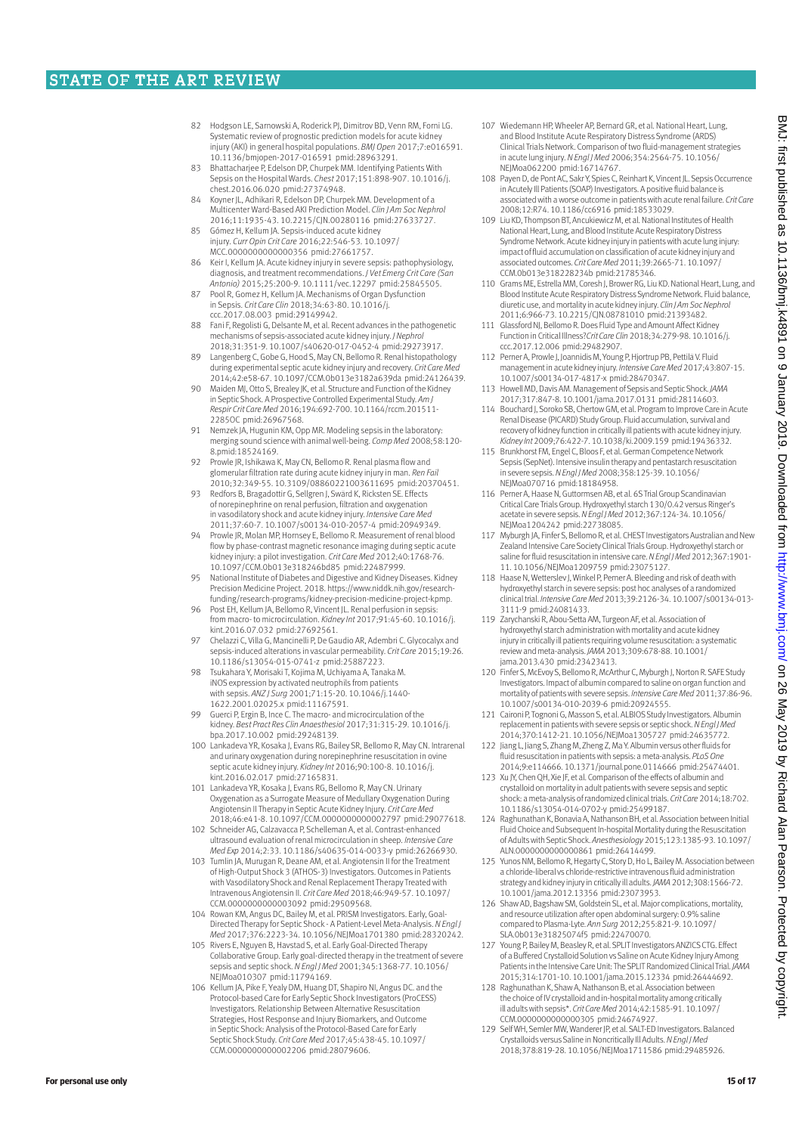- 82 Hodgson LE, Sarnowski A, Roderick PJ, Dimitrov BD, Venn RM, Forni LG. Systematic review of prognostic prediction models for acute kidney injury (AKI) in general hospital populations. *BMJ Open* 2017;7:e016591. 10.1136/bmjopen-2017-016591 pmid:28963291.
- 83 Bhattacharjee P, Edelson DP, Churpek MM. Identifying Patients With Sepsis on the Hospital Wards. *Chest* 2017;151:898-907. 10.1016/j. chest.2016.06.020 pmid:27374948.
- 84 Koyner JL, Adhikari R, Edelson DP, Churpek MM. Development of a Multicenter Ward-Based AKI Prediction Model. *Clin J Am Soc Nephrol* 2016;11:1935-43. 10.2215/CJN.00280116 pmid:27633727.
- 85 Gómez H, Kellum JA. Sepsis-induced acute kidney injury. *Curr Opin Crit Care* 2016;22:546-53. 10.1097/ MCC.0000000000000356 pmid:27661757.
- 86 Keir I, Kellum JA. Acute kidney injury in severe sepsis: pathophysiology, diagnosis, and treatment recommendations. *J Vet Emerg Crit Care (San Antonio)* 2015;25:200-9. 10.1111/vec.12297 pmid:25845505.
- 87 Pool R, Gomez H, Kellum JA. Mechanisms of Organ Dysfunction in Sepsis. *Crit Care Clin* 2018;34:63-80. 10.1016/j. ccc.2017.08.003 pmid:29149942.
- 88 Fani F, Regolisti G, Delsante M, et al. Recent advances in the pathogenetic mechanisms of sepsis-associated acute kidney injury. *J Nephrol* 2018;31:351-9. 10.1007/s40620-017-0452-4 pmid:29273917.
- 89 Langenberg C, Gobe G, Hood S, May CN, Bellomo R. Renal histopathology during experimental septic acute kidney injury and recovery. *Crit Care Med* 2014;42:e58-67. 10.1097/CCM.0b013e3182a639da pmid:24126439.
- 90 Maiden MJ, Otto S, Brealey JK, et al. Structure and Function of the Kidney in Septic Shock. A Prospective Controlled Experimental Study. *Am J Respir Crit Care Med* 2016;194:692-700. 10.1164/rccm.201511- 2285OC pmid:26967568.
- Nemzek JA, Hugunin KM, Opp MR. Modeling sepsis in the laboratory: merging sound science with animal well-being. *Comp Med* 2008;58:120- 8.pmid:18524169.
- 92 Prowle JR, Ishikawa K, May CN, Bellomo R. Renal plasma flow and glomerular filtration rate during acute kidney injury in man. *Ren Fail* 2010;32:349-55. 10.3109/08860221003611695 pmid:20370451.
- 93 Redfors B, Bragadottir G, Sellgren J, Swärd K, Ricksten SE. Effects of norepinephrine on renal perfusion, filtration and oxygenation in vasodilatory shock and acute kidney injury. *Intensive Care Med* 2011;37:60-7. 10.1007/s00134-010-2057-4 pmid:20949349.
- Prowle JR, Molan MP, Hornsey E, Bellomo R. Measurement of renal blood flow by phase-contrast magnetic resonance imaging during septic acute kidney injury: a pilot investigation. *Crit Care Med* 2012;40:1768-76. 10.1097/CCM.0b013e318246bd85 pmid:22487999.
- 95 National Institute of Diabetes and Digestive and Kidney Diseases. Kidney Precision Medicine Project. 2018. https://www.niddk.nih.gov/research-
- funding/research-programs/kidney-precision-medicine-project-kpmp. 96 Post EH, Kellum JA, Bellomo R, Vincent JL. Renal perfusion in sepsis: from macro- to microcirculation. *Kidney Int* 2017;91:45-60. 10.1016/j. kint.2016.07.032 pmid:27692561.
- 97 Chelazzi C, Villa G, Mancinelli P, De Gaudio AR, Adembri C. Glycocalyx and sepsis-induced alterations in vascular permeability. *Crit Care* 2015;19:26. 10.1186/s13054-015-0741-z pmid:25887223.
- 98 Tsukahara Y, Morisaki T, Kojima M, Uchiyama A, Tanaka M. iNOS expression by activated neutrophils from patients with sepsis. *ANZ J Surg* 2001;71:15-20. 10.1046/j.1440- 1622.2001.02025.x pmid:11167591.
- 99 Guerci P, Ergin B, Ince C. The macro- and microcirculation of the kidney. *Best Pract Res Clin Anaesthesiol* 2017;31:315-29. 10.1016/j. bpa.2017.10.002 pmid:29248139.
- 100 Lankadeva YR, Kosaka J, Evans RG, Bailey SR, Bellomo R, May CN. Intrarenal and urinary oxygenation during norepinephrine resuscitation in ovine septic acute kidney injury. *Kidney Int* 2016;90:100-8. 10.1016/j. kint.2016.02.017 pmid:27165831.
- 101 Lankadeva YR, Kosaka J, Evans RG, Bellomo R, May CN. Urinary Oxygenation as a Surrogate Measure of Medullary Oxygenation During Angiotensin II Therapy in Septic Acute Kidney Injury. *Crit Care Med* 2018;46:e41-8. 10.1097/CCM.0000000000002797 pmid:29077618.
- 102 Schneider AG, Calzavacca P, Schelleman A, et al. Contrast-enhanced ultrasound evaluation of renal microcirculation in sheep. *Intensive Care Med Exp* 2014;2:33. 10.1186/s40635-014-0033-y pmid:26266930.
- 103 Tumlin JA, Murugan R, Deane AM, et al. Angiotensin II for the Treatment of High-Output Shock 3 (ATHOS-3) Investigators. Outcomes in Patients with Vasodilatory Shock and Renal Replacement Therapy Treated with Intravenous Angiotensin II. *Crit Care Med* 2018;46:949-57. 10.1097/ CCM.0000000000003092 pmid:29509568.
- 104 Rowan KM, Angus DC, Bailey M, et al. PRISM Investigators. Early, Goal-Directed Therapy for Septic Shock - A Patient-Level Meta-Analysis. *N Engl J Med* 2017;376:2223-34. 10.1056/NEJMoa1701380 pmid:28320242.
- 105 Rivers E, Nguyen B, Havstad S, et al. Early Goal-Directed Therapy Collaborative Group. Early goal-directed therapy in the treatment of severe sepsis and septic shock. *N Engl J Med* 2001;345:1368-77. 10.1056/ NEJMoa010307 pmid:11794169.
- 106 Kellum JA, Pike F, Yealy DM, Huang DT, Shapiro NI, Angus DC. and the Protocol-based Care for Early Septic Shock Investigators (ProCESS) Investigators. Relationship Between Alternative Resuscitation Strategies, Host Response and Injury Biomarkers, and Outcome in Septic Shock: Analysis of the Protocol-Based Care for Early Septic Shock Study. *Crit Care Med* 2017;45:438-45. 10.1097/ CCM.0000000000002206 pmid:28079606.
- 107 Wiedemann HP, Wheeler AP, Bernard GR, et al. National Heart, Lung, and Blood Institute Acute Respiratory Distress Syndrome (ARDS) Clinical Trials Network. Comparison of two fluid-management strategies in acute lung injury. *N Engl J Med* 2006;354:2564-75. 10.1056/ NEJMoa062200 pmid:16714767.
- 108 Payen D, de Pont AC, Sakr Y, Spies C, Reinhart K, Vincent JL. Sepsis Occurrence in Acutely Ill Patients (SOAP) Investigators. A positive fluid balance is associated with a worse outcome in patients with acute renal failure. *Crit Care* 2008;12:R74. 10.1186/cc6916 pmid:18533029.
- 109 Liu KD, Thompson BT, Ancukiewicz M, et al. National Institutes of Health National Heart, Lung, and Blood Institute Acute Respiratory Distress Syndrome Network. Acute kidney injury in patients with acute lung injury: impact of fluid accumulation on classification of acute kidney injury and associated outcomes. *Crit Care Med* 2011;39:2665-71. 10.1097/ CCM.0b013e318228234b pmid:21785346.
- 110 Grams ME, Estrella MM, Coresh J, Brower RG, Liu KD. National Heart, Lung, and Blood Institute Acute Respiratory Distress Syndrome Network. Fluid balance, diuretic use, and mortality in acute kidney injury. *Clin J Am Soc Nephrol* 2011;6:966-73. 10.2215/CJN.08781010 pmid:21393482.
- 111 Glassford NJ, Bellomo R. Does Fluid Type and Amount Affect Kidney Function in Critical Illness?*Crit Care Clin* 2018;34:279-98. 10.1016/j. ccc.2017.12.006 pmid:29482907.
- 112 Perner A, Prowle J, Joannidis M, Young P, Hjortrup PB, Pettilä V. Fluid management in acute kidney injury. *Intensive Care Med* 2017;43:807-15. 10.1007/s00134-017-4817-x pmid:28470347.
- 113 Howell MD, Davis AM. Management of Sepsis and Septic Shock. *JAMA* 2017;317:847-8. 10.1001/jama.2017.0131 pmid:28114603.
- 114 Bouchard J, Soroko SB, Chertow GM, et al. Program to Improve Care in Acute Renal Disease (PICARD) Study Group. Fluid accumulation, survival and recovery of kidney function in critically ill patients with acute kidney injury. *Kidney Int* 2009;76:422-7. 10.1038/ki.2009.159 pmid:19436332.
- 115 Brunkhorst FM, Engel C, Bloos F, et al. German Competence Network Sepsis (SepNet). Intensive insulin therapy and pentastarch resuscitation in severe sepsis. *N Engl J Med* 2008;358:125-39. 10.1056/ NEJMoa070716 pmid:18184958.
- 116 Perner A, Haase N, Guttormsen AB, et al. 6S Trial Group Scandinavian Critical Care Trials Group. Hydroxyethyl starch 130/0.42 versus Ringer's acetate in severe sepsis. *N Engl J Med* 2012;367:124-34. 10.1056/ NEJMoa1204242 pmid:22738085.
- 117 Myburgh JA, Finfer S, Bellomo R, et al. CHEST Investigators Australian and New Zealand Intensive Care Society Clinical Trials Group. Hydroxyethyl starch or saline for fluid resuscitation in intensive care. *N Engl J Med* 2012;367:1901- 11. 10.1056/NEJMoa1209759 pmid:23075127.
- 118 Haase N, Wetterslev J, Winkel P, Perner A. Bleeding and risk of death with hydroxyethyl starch in severe sepsis: post hoc analyses of a randomized clinical trial. *Intensive Care Med* 2013;39:2126-34. 10.1007/s00134-013- 3111-9 pmid:24081433.
- 119 Zarychanski R, Abou-Setta AM, Turgeon AF, et al. Association of hydroxyethyl starch administration with mortality and acute kidney injury in critically ill patients requiring volume resuscitation: a systematic review and meta-analysis. *JAMA* 2013;309:678-88. 10.1001/ jama.2013.430 pmid:23423413.
- 120 Finfer S, McEvoy S, Bellomo R, McArthur C, Myburgh J, Norton R. SAFE Study Investigators. Impact of albumin compared to saline on organ function and mortality of patients with severe sepsis. *Intensive Care Med* 2011;37:86-96. 10.1007/s00134-010-2039-6 pmid:20924555.
- 121 Caironi P, Tognoni G, Masson S, et al. ALBIOS Study Investigators. Albumin replacement in patients with severe sepsis or septic shock. *N Engl J Med* 2014;370:1412-21. 10.1056/NEJMoa1305727 pmid:24635772.
- 122 Jiang L, Jiang S, Zhang M, Zheng Z, Ma Y. Albumin versus other fluids for fluid resuscitation in patients with sepsis: a meta-analysis. *PLoS One* 2014;9:e114666. 10.1371/journal.pone.0114666 pmid:25474401.
- 123 Xu JY, Chen QH, Xie JF, et al. Comparison of the effects of albumin and crystalloid on mortality in adult patients with severe sepsis and septic shock: a meta-analysis of randomized clinical trials. *Crit Care* 2014;18:702. 10.1186/s13054-014-0702-y pmid:25499187.
- 124 Raghunathan K, Bonavia A, Nathanson BH, et al. Association between Initial Fluid Choice and Subsequent In-hospital Mortality during the Resuscitation of Adults with Septic Shock. *Anesthesiology* 2015;123:1385-93. 10.1097/ ALN.0000000000000861 pmid:26414499.
- 125 Yunos NM, Bellomo R, Hegarty C, Story D, Ho L, Bailey M. Association between a chloride-liberal vs chloride-restrictive intravenous fluid administration strategy and kidney injury in critically ill adults. *JAMA* 2012;308:1566-72. 10.1001/jama.2012.13356 pmid:23073953.
- 126 Shaw AD, Bagshaw SM, Goldstein SL, et al. Major complications, mortality, and resource utilization after open abdominal surgery: 0.9% saline compared to Plasma-Lyte. *Ann Surg* 2012;255:821-9. 10.1097/ SLA.0b013e31825074f5 pmid:22470070.
- 127 Young P, Bailey M, Beasley R, et al. SPLIT Investigators ANZICS CTG. Effect of a Buffered Crystalloid Solution vs Saline on Acute Kidney Injury Among Patients in the Intensive Care Unit: The SPLIT Randomized Clinical Trial. *JAMA*
- 2015;314:1701-10. 10.1001/jama.2015.12334 pmid:26444692. 128 Raghunathan K, Shaw A, Nathanson B, et al. Association between the choice of IV crystalloid and in-hospital mortality among critically ill adults with sepsis\*. *Crit Care Med* 2014;42:1585-91. 10.1097/ CCM.0000000000000305 pmid:24674927.
- 129 Self WH, Semler MW, Wanderer JP, et al. SALT-ED Investigators. Balanced Crystalloids versus Saline in Noncritically Ill Adults. *N Engl J Med* 2018;378:819-28. 10.1056/NEJMoa1711586 pmid:29485926.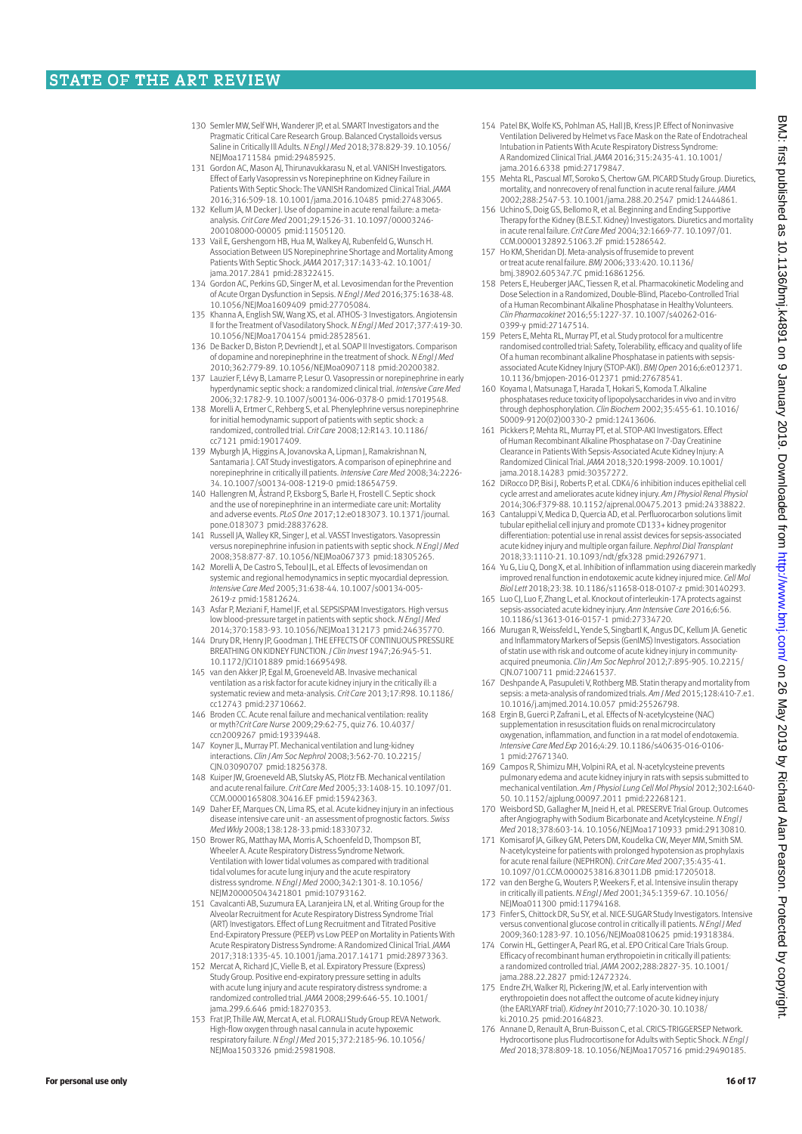- 130 Semler MW, Self WH, Wanderer JP, et al. SMART Investigators and the Pragmatic Critical Care Research Group. Balanced Crystalloids versus Saline in Critically Ill Adults. *N Engl J Med* 2018;378:829-39. 10.1056/ NEJMoa1711584 pmid:29485925.
- 131 Gordon AC, Mason AJ, Thirunavukkarasu N, et al. VANISH Investigators. Effect of Early Vasopressin vs Norepinephrine on Kidney Failure in Patients With Septic Shock: The VANISH Randomized Clinical Trial. *JAMA* 2016;316:509-18. 10.1001/jama.2016.10485 pmid:27483065.
- 132 Kellum JA, M Decker J. Use of dopamine in acute renal failure: a metaanalysis. *Crit Care Med* 2001;29:1526-31. 10.1097/00003246- 200108000-00005 pmid:11505120.
- 133 Vail E, Gershengorn HB, Hua M, Walkey AJ, Rubenfeld G, Wunsch H. Association Between US Norepinephrine Shortage and Mortality Among Patients With Septic Shock. *JAMA* 2017;317:1433-42. 10.1001/ jama.2017.2841 pmid:28322415.
- 134 Gordon AC, Perkins GD, Singer M, et al. Levosimendan for the Prevention of Acute Organ Dysfunction in Sepsis. *N Engl J Med* 2016;375:1638-48. 10.1056/NEJMoa1609409 pmid:27705084.
- 135 Khanna A, English SW, Wang XS, et al. ATHOS-3 Investigators. Angiotensin II for the Treatment of Vasodilatory Shock. *N Engl J Med* 2017;377:419-30. 10.1056/NEJMoa1704154 pmid:28528561.
- 136 De Backer D, Biston P, Devriendt J, et al. SOAP II Investigators. Comparison of dopamine and norepinephrine in the treatment of shock. *N Engl J Med* 2010;362:779-89. 10.1056/NEJMoa0907118 pmid:20200382.
- 137 Lauzier F, Lévy B, Lamarre P, Lesur O. Vasopressin or norepinephrine in early hyperdynamic septic shock: a randomized clinical trial. *Intensive Care Med* 2006;32:1782-9. 10.1007/s00134-006-0378-0 pmid:17019548.
- 138 Morelli A, Ertmer C, Rehberg S, et al. Phenylephrine versus norepinephrine for initial hemodynamic support of patients with septic shock: a randomized, controlled trial. *Crit Care* 2008;12:R143. 10.1186/ cc7121 pmid:19017409.
- 139 Myburgh JA, Higgins A, Jovanovska A, Lipman J, Ramakrishnan N, Santamaria I. CAT Study investigators. A comparison of epinephrine and norepinephrine in critically ill patients. *Intensive Care Med* 2008;34:2226- 34. 10.1007/s00134-008-1219-0 pmid:18654759.
- 140 Hallengren M, Åstrand P, Eksborg S, Barle H, Frostell C. Septic shock and the use of norepinephrine in an intermediate care unit: Mortality and adverse events. *PLoS One* 2017;12:e0183073. 10.1371/journal. pone.0183073 pmid:28837628.
- 141 Russell JA, Walley KR, Singer J, et al. VASST Investigators. Vasopressin versus norepinephrine infusion in patients with septic shock. *N Engl J Med* 2008;358:877-87. 10.1056/NEJMoa067373 pmid:18305265.
- 142 Morelli A, De Castro S, Teboul JL, et al. Effects of levosimendan on systemic and regional hemodynamics in septic myocardial depression. *Intensive Care Med* 2005;31:638-44. 10.1007/s00134-005- 2619-z pmid:15812624.
- 143 Asfar P, Meziani F, Hamel JF, et al. SEPSISPAM Investigators. High versus low blood-pressure target in patients with septic shock. *N Engl J Med* 2014;370:1583-93. 10.1056/NEJMoa1312173 pmid:24635770.
- 144 Drury DR, Henry JP, Goodman J. THE EFFECTS OF CONTINUOUS PRESSURE BREATHING ON KIDNEY FUNCTION. *J Clin Invest* 1947;26:945-51. 10.1172/JCI101889 pmid:16695498.
- 145 van den Akker JP, Egal M, Groeneveld AB. Invasive mechanical ventilation as a risk factor for acute kidney injury in the critically ill: a systematic review and meta-analysis. *Crit Care* 2013;17:R98. 10.1186/ cc12743 pmid:23710662.
- 146 Broden CC. Acute renal failure and mechanical ventilation: reality or myth?*Crit Care Nurse* 2009;29:62-75, quiz 76. 10.4037/ ccn2009267 pmid:19339448.
- 147 Koyner JL, Murray PT. Mechanical ventilation and lung-kidney interactions. *Clin J Am Soc Nephrol* 2008;3:562-70. 10.2215/ CJN.03090707 pmid:18256378.
- 148 Kuiper JW, Groeneveld AB, Slutsky AS, Plötz FB. Mechanical ventilation and acute renal failure. *Crit Care Med* 2005;33:1408-15. 10.1097/01. CCM.0000165808.30416.EF pmid:15942363.
- 149 Daher EF, Marques CN, Lima RS, et al. Acute kidney injury in an infectious disease intensive care unit - an assessment of prognostic factors. *Swiss Med Wkly* 2008;138:128-33.pmid:18330732.
- 150 Brower RG, Matthay MA, Morris A, Schoenfeld D, Thompson BT, Wheeler A. Acute Respiratory Distress Syndrome Network. Ventilation with lower tidal volumes as compared with traditional tidal volumes for acute lung injury and the acute respirator distress syndrome. *N Engl J Med* 2000;342:1301-8. 10.1056/ NEJM200005043421801 pmid:10793162.
- 151 Cavalcanti AB, Suzumura EA, Laranjeira LN, et al. Writing Group for the Alveolar Recruitment for Acute Respiratory Distress Syndrome Trial (ART) Investigators. Effect of Lung Recruitment and Titrated Positive End-Expiratory Pressure (PEEP) vs Low PEEP on Mortality in Patients With Acute Respiratory Distress Syndrome: A Randomized Clinical Trial. *JAMA* 2017;318:1335-45. 10.1001/jama.2017.14171 pmid:28973363.
- 152 Mercat A, Richard JC, Vielle B, et al. Expiratory Pressure (Express) Study Group. Positive end-expiratory pressure setting in adults with acute lung injury and acute respiratory distress syndrome: a randomized controlled trial. *JAMA* 2008;299:646-55. 10.1001/ jama.299.6.646 pmid:18270353.
- 153 Frat JP, Thille AW, Mercat A, et al. FLORALI Study Group REVA Network. High-flow oxygen through nasal cannula in acute hypoxemic respiratory failure. *N Engl J Med* 2015;372:2185-96. 10.1056/ NEJMoa1503326 pmid:25981908.
- 154 Patel BK, Wolfe KS, Pohlman AS, Hall JB, Kress JP. Effect of Noninvasive Ventilation Delivered by Helmet vs Face Mask on the Rate of Endotracheal Intubation in Patients With Acute Respiratory Distress Syndrome A Randomized Clinical Trial. *JAMA* 2016;315:2435-41. 10.1001/ jama.2016.6338 pmid:27179847.
- 155 Mehta RL, Pascual MT, Soroko S, Chertow GM. PICARD Study Group. Diuretics, mortality, and nonrecovery of renal function in acute renal failure. *JAMA* 2002;288:2547-53. 10.1001/jama.288.20.2547 pmid:12444861.
- 156 Uchino S, Doig GS, Bellomo R, et al. Beginning and Ending Supportive Therapy for the Kidney (B.E.S.T. Kidney) Investigators. Diuretics and mortality in acute renal failure. *Crit Care Med* 2004;32:1669-77. 10.1097/01. CCM.0000132892.51063.2F pmid:15286542.
- 157 Ho KM, Sheridan DJ. Meta-analysis of frusemide to prevent or treat acute renal failure. *BMJ* 2006;333:420. 10.1136/ bmj.38902.605347.7C pmid:16861256.
- 158 Peters E, Heuberger JAAC, Tiessen R, et al. Pharmacokinetic Modeling and Dose Selection in a Randomized, Double-Blind, Placebo-Controlled Trial of a Human Recombinant Alkaline Phosphatase in Healthy Volunteers. *Clin Pharmacokinet* 2016;55:1227-37. 10.1007/s40262-016- 0399-y pmid:27147514.
- 159 Peters E, Mehta RL, Murray PT, et al. Study protocol for a multicentre randomised controlled trial: Safety, Tolerability, efficacy and quality of life Of a human recombinant alkaline Phosphatase in patients with sepsisassociated Acute Kidney Injury (STOP-AKI). *BMJ Open* 2016;6:e012371. 10.1136/bmjopen-2016-012371 pmid:27678541.
- 160 Koyama I, Matsunaga T, Harada T, Hokari S, Komoda T. Alkaline phosphatases reduce toxicity of lipopolysaccharides in vivo and in vitro through dephosphorylation. *Clin Biochem* 2002;35:455-61. 10.1016/ S0009-9120(02)00330-2 pmid:12413606.
- 161 Pickkers P, Mehta RL, Murray PT, et al. STOP-AKI Investigators. Effect of Human Recombinant Alkaline Phosphatase on 7-Day Creatinine Clearance in Patients With Sepsis-Associated Acute Kidney Injury: A Randomized Clinical Trial. *JAMA* 2018;320:1998-2009. 10.1001/ jama.2018.14283 pmid:30357272.
- 162 DiRocco DP, Bisi J, Roberts P, et al. CDK4/6 inhibition induces epithelial cell cycle arrest and ameliorates acute kidney injury. *Am J Physiol Renal Physiol* 2014;306:F379-88. 10.1152/ajprenal.00475.2013 pmid:24338822.
- 163 Cantaluppi V, Medica D, Quercia AD, et al. Perfluorocarbon solutions limit tubular epithelial cell injury and promote CD133+ kidney progenitor differentiation: potential use in renal assist devices for sepsis-associated acute kidney injury and multiple organ failure. *Nephrol Dial Transplant* 2018;33:1110-21. 10.1093/ndt/gfx328 pmid:29267971.
- 164 Yu G, Liu Q, Dong X, et al. Inhibition of inflammation using diacerein markedly improved renal function in endotoxemic acute kidney injured mice. *Cell Mol Biol Lett* 2018;23:38. 10.1186/s11658-018-0107-z pmid:30140293.
- 165 Luo CJ, Luo F, Zhang L, et al. Knockout of interleukin-17A protects against sepsis-associated acute kidney injury. *Ann Intensive Care* 2016;6:56. 10.1186/s13613-016-0157-1 pmid:27334720.
- 166 Murugan R, Weissfeld L, Yende S, Singbartl K, Angus DC, Kellum JA. Genetic and Inflammatory Markers of Sepsis (GenIMS) Investigators. Association of statin use with risk and outcome of acute kidney injury in communityacquired pneumonia. *Clin J Am Soc Nephrol* 2012;7:895-905. 10.2215/ CJN.07100711 pmid:22461537.
- 167 Deshpande A, Pasupuleti V, Rothberg MB. Statin therapy and mortality from sepsis: a meta-analysis of randomized trials. *Am J Med* 2015;128:410-7.e1. 10.1016/j.amjmed.2014.10.057 pmid:25526798.
- 168 Ergin B, Guerci P, Zafrani L, et al. Effects of N-acetylcysteine (NAC) supplementation in resuscitation fluids on renal microcirculatory oxygenation, inflammation, and function in a rat model of endotoxemia. *Intensive Care Med Exp* 2016;4:29. 10.1186/s40635-016-0106- 1 pmid:27671340.
- 169 Campos R, Shimizu MH, Volpini RA, et al. N-acetylcysteine prevents pulmonary edema and acute kidney injury in rats with sepsis submitted to mechanical ventilation. *Am J Physiol Lung Cell Mol Physiol* 2012;302:L640- 50. 10.1152/ajplung.00097.2011 pmid:22268121.
- 170 Weisbord SD, Gallagher M, Jneid H, et al. PRESERVE Trial Group. Outcomes after Angiography with Sodium Bicarbonate and Acetylcysteine. *N Engl J Med* 2018;378:603-14. 10.1056/NEJMoa1710933 pmid:29130810.
- 171 Komisarof JA, Gilkey GM, Peters DM, Koudelka CW, Meyer MM, Smith SM. N-acetylcysteine for patients with prolonged hypotension as prophylaxis for acute renal failure (NEPHRON). *Crit Care Med* 2007;35:435-41. 10.1097/01.CCM.0000253816.83011.DB pmid:17205018.
- 172 van den Berghe G, Wouters P, Weekers F, et al. Intensive insulin therapy in critically ill patients. *N Engl J Med* 2001;345:1359-67. 10.1056/ NEJMoa011300 pmid:11794168.
- 173 Finfer S, Chittock DR, Su SY, et al. NICE-SUGAR Study Investigators. Intensive versus conventional glucose control in critically ill patients. *N Engl J Med* 2009;360:1283-97. 10.1056/NEJMoa0810625 pmid:19318384.
- 174 Corwin HL, Gettinger A, Pearl RG, et al. EPO Critical Care Trials Group. Efficacy of recombinant human erythropoietin in critically ill patients: a randomized controlled trial. *JAMA* 2002;288:2827-35. 10.1001/
- jama.288.22.2827 pmid:12472324. 175 Endre ZH, Walker RJ, Pickering JW, et al. Early intervention with erythropoietin does not affect the outcome of acute kidney injury (the EARLYARF trial). *Kidney Int* 2010;77:1020-30. 10.1038/ ki.2010.25 pmid:20164823.
- 176 Annane D, Renault A, Brun-Buisson C, et al. CRICS-TRIGGERSEP Network. Hydrocortisone plus Fludrocortisone for Adults with Septic Shock. *N Engl J Med* 2018;378:809-18. 10.1056/NEJMoa1705716 pmid:29490185.